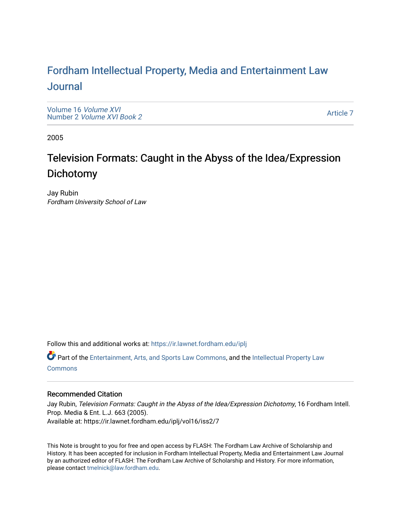# For[dham Intellectual Property, Media and Enter](https://ir.lawnet.fordham.edu/iplj)tainment Law [Journal](https://ir.lawnet.fordham.edu/iplj)

[Volume 16](https://ir.lawnet.fordham.edu/iplj/vol16) Volume XVI Number 2 [Volume XVI Book 2](https://ir.lawnet.fordham.edu/iplj/vol16/iss2)

[Article 7](https://ir.lawnet.fordham.edu/iplj/vol16/iss2/7) 

2005

# Television Formats: Caught in the Abyss of the Idea/Expression Dichotomy

Jay Rubin Fordham University School of Law

Follow this and additional works at: [https://ir.lawnet.fordham.edu/iplj](https://ir.lawnet.fordham.edu/iplj?utm_source=ir.lawnet.fordham.edu%2Fiplj%2Fvol16%2Fiss2%2F7&utm_medium=PDF&utm_campaign=PDFCoverPages) 

Part of the [Entertainment, Arts, and Sports Law Commons](http://network.bepress.com/hgg/discipline/893?utm_source=ir.lawnet.fordham.edu%2Fiplj%2Fvol16%2Fiss2%2F7&utm_medium=PDF&utm_campaign=PDFCoverPages), and the [Intellectual Property Law](http://network.bepress.com/hgg/discipline/896?utm_source=ir.lawnet.fordham.edu%2Fiplj%2Fvol16%2Fiss2%2F7&utm_medium=PDF&utm_campaign=PDFCoverPages) **[Commons](http://network.bepress.com/hgg/discipline/896?utm_source=ir.lawnet.fordham.edu%2Fiplj%2Fvol16%2Fiss2%2F7&utm_medium=PDF&utm_campaign=PDFCoverPages)** 

# Recommended Citation

Jay Rubin, Television Formats: Caught in the Abyss of the Idea/Expression Dichotomy, 16 Fordham Intell. Prop. Media & Ent. L.J. 663 (2005). Available at: https://ir.lawnet.fordham.edu/iplj/vol16/iss2/7

This Note is brought to you for free and open access by FLASH: The Fordham Law Archive of Scholarship and History. It has been accepted for inclusion in Fordham Intellectual Property, Media and Entertainment Law Journal by an authorized editor of FLASH: The Fordham Law Archive of Scholarship and History. For more information, please contact [tmelnick@law.fordham.edu](mailto:tmelnick@law.fordham.edu).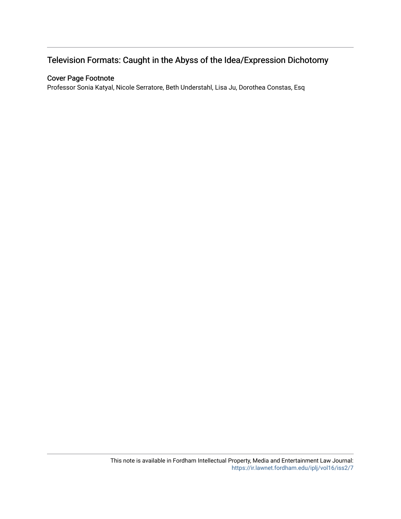# Television Formats: Caught in the Abyss of the Idea/Expression Dichotomy

# Cover Page Footnote

Professor Sonia Katyal, Nicole Serratore, Beth Understahl, Lisa Ju, Dorothea Constas, Esq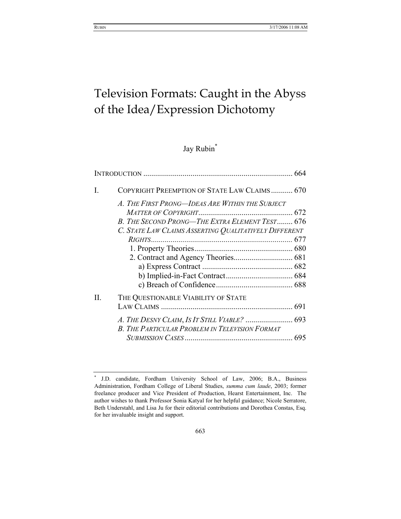# Television Formats: Caught in the Abyss of the Idea/Expression Dichotomy

# Jay Rubin<sup>\*</sup>

| I. | COPYRIGHT PREEMPTION OF STATE LAW CLAIMS 670          |  |
|----|-------------------------------------------------------|--|
|    | A. THE FIRST PRONG—IDEAS ARE WITHIN THE SUBJECT       |  |
|    |                                                       |  |
|    | B. THE SECOND PRONG—THE EXTRA ELEMENT TEST 676        |  |
|    | C. STATE LAW CLAIMS ASSERTING QUALITATIVELY DIFFERENT |  |
|    |                                                       |  |
|    |                                                       |  |
|    |                                                       |  |
|    |                                                       |  |
|    |                                                       |  |
|    |                                                       |  |
| Π. | THE QUESTIONABLE VIABILITY OF STATE                   |  |
|    |                                                       |  |
|    |                                                       |  |
|    | B. THE PARTICULAR PROBLEM IN TELEVISION FORMAT        |  |
|    |                                                       |  |

<sup>\*</sup> J.D. candidate, Fordham University School of Law, 2006; B.A., Business Administration, Fordham College of Liberal Studies, *summa cum laude*, 2003; former freelance producer and Vice President of Production, Hearst Entertainment, Inc. The author wishes to thank Professor Sonia Katyal for her helpful guidance; Nicole Serratore, Beth Understahl, and Lisa Ju for their editorial contributions and Dorothea Constas, Esq. for her invaluable insight and support.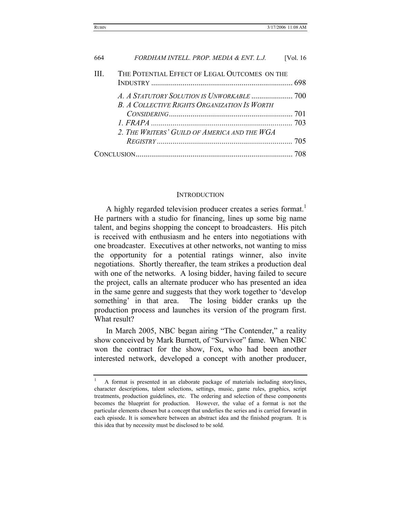| 664 | FORDHAM INTELL, PROP, MEDIA & ENT, L.J.             | [Vol. $16$ |
|-----|-----------------------------------------------------|------------|
| Ш   | THE POTENTIAL EFFECT OF LEGAL OUTCOMES ON THE       |            |
|     | <b>B. A COLLECTIVE RIGHTS ORGANIZATION IS WORTH</b> |            |
|     |                                                     |            |
|     |                                                     |            |
|     | 2. The Writers' Guild of America and the WGA        |            |
|     |                                                     |            |
|     |                                                     |            |

# **INTRODUCTION**

A highly regarded television producer creates a series format.<sup>1</sup> He partners with a studio for financing, lines up some big name talent, and begins shopping the concept to broadcasters. His pitch is received with enthusiasm and he enters into negotiations with one broadcaster. Executives at other networks, not wanting to miss the opportunity for a potential ratings winner, also invite negotiations. Shortly thereafter, the team strikes a production deal with one of the networks. A losing bidder, having failed to secure the project, calls an alternate producer who has presented an idea in the same genre and suggests that they work together to 'develop something' in that area. The losing bidder cranks up the production process and launches its version of the program first. What result?

In March 2005, NBC began airing "The Contender," a reality show conceived by Mark Burnett, of "Survivor" fame. When NBC won the contract for the show, Fox, who had been another interested network, developed a concept with another producer,

<sup>1</sup> A format is presented in an elaborate package of materials including storylines, character descriptions, talent selections, settings, music, game rules, graphics, script treatments, production guidelines, etc. The ordering and selection of these components becomes the blueprint for production. However, the value of a format is not the particular elements chosen but a concept that underlies the series and is carried forward in each episode. It is somewhere between an abstract idea and the finished program. It is this idea that by necessity must be disclosed to be sold.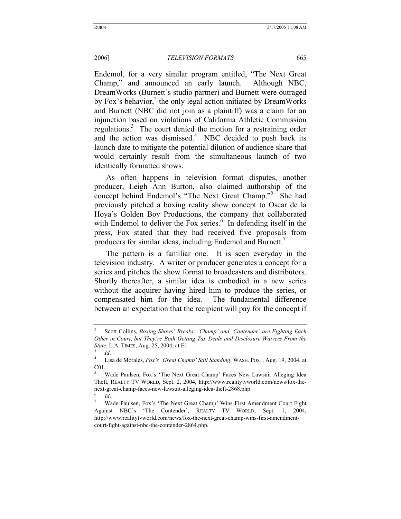Endemol, for a very similar program entitled, "The Next Great Champ," and announced an early launch. Although NBC, DreamWorks (Burnett's studio partner) and Burnett were outraged by Fox's behavior, $2$  the only legal action initiated by DreamWorks and Burnett (NBC did not join as a plaintiff) was a claim for an injunction based on violations of California Athletic Commission regulations.<sup>3</sup> The court denied the motion for a restraining order and the action was dismissed. $4$  NBC decided to push back its launch date to mitigate the potential dilution of audience share that would certainly result from the simultaneous launch of two identically formatted shows.

As often happens in television format disputes, another producer, Leigh Ann Burton, also claimed authorship of the concept behind Endemol's "The Next Great Champ."5 She had previously pitched a boxing reality show concept to Oscar de la Hoya's Golden Boy Productions, the company that collaborated with Endemol to deliver the Fox series.<sup>6</sup> In defending itself in the press, Fox stated that they had received five proposals from producers for similar ideas, including Endemol and Burnett.

The pattern is a familiar one. It is seen everyday in the television industry. A writer or producer generates a concept for a series and pitches the show format to broadcasters and distributors. Shortly thereafter, a similar idea is embodied in a new series without the acquirer having hired him to produce the series, or compensated him for the idea. The fundamental difference between an expectation that the recipient will pay for the concept if

<sup>2</sup> Scott Collins, *Boxing Shows' Breaks; 'Champ' and 'Contender' are Fighting Each Other in Court*, *but They're Both Getting Tax Deals and Disclosure Waivers From the State*, L.A. TIMES, Aug. 25, 2004, at E1.

 $\frac{3}{4}$  *Id.* 

Lisa de Morales, *Fox's 'Great Champ' Still Standing*, WASH. POST, Aug. 19, 2004, at C01.

<sup>5</sup> Wade Paulsen, Fox's 'The Next Great Champ' Faces New Lawsuit Alleging Idea Theft, REALTY TV WORLD, Sept. 2, 2004, http://www.realitytvworld.com/news/fox-thenext-great-champ-faces-new-lawsuit-alleging-idea-theft-2868.php. 6

*Id.* 

Wade Paulsen, Fox's 'The Next Great Champ' Wins First Amendment Court Fight Against NBC's 'The Contender', REALTY TV WORLD, Sept. 1, 2004, http://www.realitytvworld.com/news/fox-the-next-great-champ-wins-first-amendmentcourt-fight-against-nbc-the-contender-2864.php.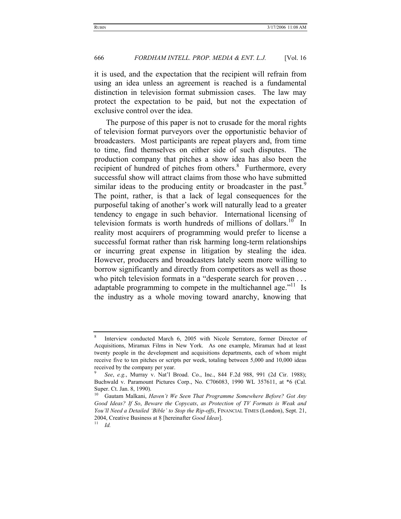it is used, and the expectation that the recipient will refrain from using an idea unless an agreement is reached is a fundamental distinction in television format submission cases. The law may protect the expectation to be paid, but not the expectation of exclusive control over the idea.

The purpose of this paper is not to crusade for the moral rights of television format purveyors over the opportunistic behavior of broadcasters. Most participants are repeat players and, from time to time, find themselves on either side of such disputes. The production company that pitches a show idea has also been the recipient of hundred of pitches from others.<sup>8</sup> Furthermore, every successful show will attract claims from those who have submitted similar ideas to the producing entity or broadcaster in the past.<sup>9</sup> The point, rather, is that a lack of legal consequences for the purposeful taking of another's work will naturally lead to a greater tendency to engage in such behavior. International licensing of television formats is worth hundreds of millions of dollars.<sup>10</sup> In reality most acquirers of programming would prefer to license a successful format rather than risk harming long-term relationships or incurring great expense in litigation by stealing the idea. However, producers and broadcasters lately seem more willing to borrow significantly and directly from competitors as well as those who pitch television formats in a "desperate search for proven . . . adaptable programming to compete in the multichannel age."<sup>11</sup> Is the industry as a whole moving toward anarchy, knowing that

<sup>8</sup> Interview conducted March 6, 2005 with Nicole Serratore, former Director of Acquisitions, Miramax Films in New York. As one example, Miramax had at least twenty people in the development and acquisitions departments, each of whom might receive five to ten pitches or scripts per week, totaling between 5,000 and 10,000 ideas received by the company per year.

<sup>9</sup>  *See*, *e.g.*, Murray v. Nat'l Broad. Co., Inc., 844 F.2d 988, 991 (2d Cir. 1988); Buchwald v. Paramount Pictures Corp., No. C706083, 1990 WL 357611, at \*6 (Cal. Super. Ct. Jan. 8, 1990).

<sup>&</sup>lt;sup>10</sup> Gautam Malkani, *Haven't We Seen That Programme Somewhere Before? Got Any Good Ideas? If So*, *Beware the Copycats*, *as Protection of TV Formats is Weak and You'll Need a Detailed 'Bible' to Stop the Rip-offs*, FINANCIAL TIMES (London), Sept. 21, 2004, Creative Business at 8 [hereinafter *Good Ideas*]. 11 *Id.*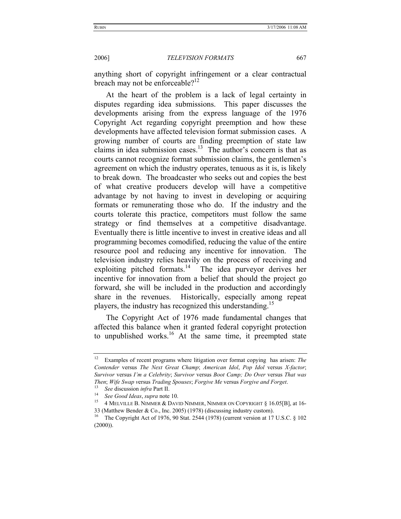anything short of copyright infringement or a clear contractual breach may not be enforceable?<sup>12</sup>

At the heart of the problem is a lack of legal certainty in disputes regarding idea submissions. This paper discusses the developments arising from the express language of the 1976 Copyright Act regarding copyright preemption and how these developments have affected television format submission cases. A growing number of courts are finding preemption of state law claims in idea submission cases.<sup>13</sup> The author's concern is that as courts cannot recognize format submission claims, the gentlemen's agreement on which the industry operates, tenuous as it is, is likely to break down. The broadcaster who seeks out and copies the best of what creative producers develop will have a competitive advantage by not having to invest in developing or acquiring formats or remunerating those who do. If the industry and the courts tolerate this practice, competitors must follow the same strategy or find themselves at a competitive disadvantage. Eventually there is little incentive to invest in creative ideas and all programming becomes comodified, reducing the value of the entire resource pool and reducing any incentive for innovation. The television industry relies heavily on the process of receiving and exploiting pitched formats. $14$  The idea purveyor derives her incentive for innovation from a belief that should the project go forward, she will be included in the production and accordingly share in the revenues. Historically, especially among repeat players, the industry has recognized this understanding.<sup>15</sup>

The Copyright Act of 1976 made fundamental changes that affected this balance when it granted federal copyright protection to unpublished works.<sup>16</sup> At the same time, it preempted state

<sup>12</sup> Examples of recent programs where litigation over format copying has arisen: *The Contender* versus *The Next Great Champ*; *American Idol*, *Pop Idol* versus *X-factor*; *Survivor* versus *I'm a Celebrity*; *Survivor* versus *Boot Camp; Do Over* versus *That was Then; Wife Swap versus Trading Spouses; Forgive Me versus Forgive and Forget.*<br><sup>13</sup> *See discussion infra Part II.*<br><sup>14</sup> *See Good Ideas, supra note 10.*<br><sup>15</sup> 4 MELVILLE B. NIMMER & DAVID NIMMER, NIMMER ON COPYRIGHT § 16

<sup>33 (</sup>Matthew Bender & Co., Inc. 2005) (1978) (discussing industry custom).<br><sup>16</sup> The Copyright Act of 1976, 90 Stat. 2544 (1978) (current version at 17 U.S.C. § 102  $(2000)$ ).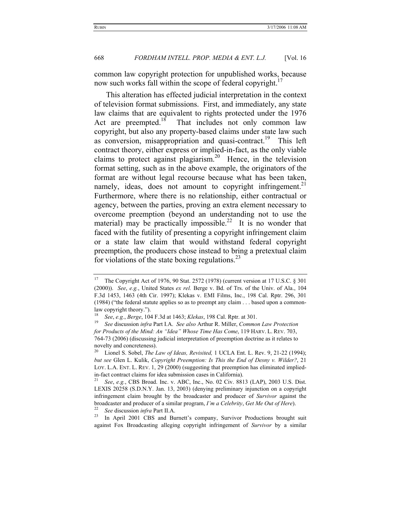common law copyright protection for unpublished works, because now such works fall within the scope of federal copyright.<sup>17</sup>

This alteration has effected judicial interpretation in the context of television format submissions. First, and immediately, any state law claims that are equivalent to rights protected under the 1976 Act are preempted.<sup>18</sup> That includes not only common law copyright, but also any property-based claims under state law such as conversion, misappropriation and quasi-contract.<sup>19</sup> This left contract theory, either express or implied-in-fact, as the only viable claims to protect against plagiarism.<sup>20</sup> Hence, in the television format setting, such as in the above example, the originators of the format are without legal recourse because what has been taken, namely, ideas, does not amount to copyright infringement.<sup>21</sup> Furthermore, where there is no relationship, either contractual or agency, between the parties, proving an extra element necessary to overcome preemption (beyond an understanding not to use the material) may be practically impossible.<sup>22</sup> It is no wonder that faced with the futility of presenting a copyright infringement claim or a state law claim that would withstand federal copyright preemption, the producers chose instead to bring a pretextual claim for violations of the state boxing regulations.<sup>23</sup>

against Fox Broadcasting alleging copyright infringement of *Survivor* by a similar

<sup>&</sup>lt;sup>17</sup> The Copyright Act of 1976, 90 Stat. 2572 (1978) (current version at 17 U.S.C.  $\S$  301 (2000)). *See*, *e.g.*, United States *ex rel.* Berge v. Bd. of Trs. of the Univ. of Ala., 104 F.3d 1453, 1463 (4th Cir. 1997); Klekas v. EMI Films, Inc., 198 Cal. Rptr. 296, 301 (1984) ("the federal statute applies so as to preempt any claim . . . based upon a commonlaw copyright theory.").

<sup>18</sup> *See*, *e.g.*, *Berge*, 104 F.3d at 1463; *Klekas*, 198 Cal. Rptr. at 301. 19 *See* discussion *infra* Part I.A. *See also* Arthur R. Miller, *Common Law Protection for Products of the Mind: An "Idea" Whose Time Has Come*, 119 HARV. L. REV. 703, 764-73 (2006) (discussing judicial interpretation of preemption doctrine as it relates to novelty and concreteness).

<sup>20</sup> Lionel S. Sobel, *The Law of Ideas, Revisited,* 1 UCLA Ent. L. Rev. 9, 21-22 (1994); *but see* Glen L. Kulik, *Copyright Preemption: Is This the End of Desny v. Wilder?*, 21 LOY. L.A. ENT. L. REV. 1, 29 (2000) (suggesting that preemption has eliminated impliedin-fact contract claims for idea submission cases in California). 21 *See*, *e.g.*, CBS Broad. Inc. v. ABC, Inc., No. 02 Civ. 8813 (LAP), 2003 U.S. Dist.

LEXIS 20258 (S.D.N.Y. Jan. 13, 2003) (denying preliminary injunction on a copyright infringement claim brought by the broadcaster and producer of *Survivor* against the broadcaster and producer of a similar program, *I'm a Celebrity*, *Get Me Out of Here*).<br><sup>22</sup> *See* discussion *infra* Part II.A.<br><sup>23</sup> In April 2001 CBS and Burnett's company, Survivor Productions brought suit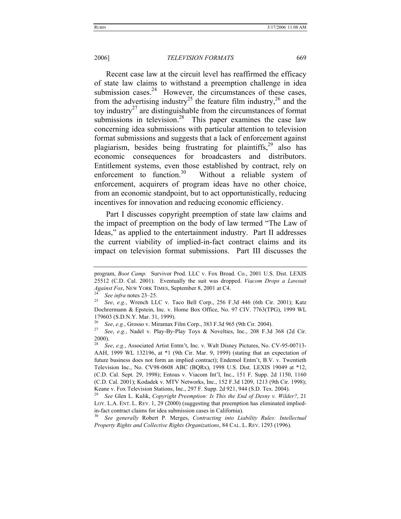Recent case law at the circuit level has reaffirmed the efficacy of state law claims to withstand a preemption challenge in idea submission cases.<sup>24</sup> However, the circumstances of these cases, from the advertising industry<sup>25</sup> the feature film industry,<sup>26</sup> and the toy industry<sup>27</sup> are distinguishable from the circumstances of format submissions in television.<sup>28</sup> This paper examines the case law concerning idea submissions with particular attention to television format submissions and suggests that a lack of enforcement against plagiarism, besides being frustrating for plaintiffs,<sup>29</sup> also has economic consequences for broadcasters and distributors. Entitlement systems, even those established by contract, rely on enforcement to function.<sup>30</sup> Without a reliable system of enforcement, acquirers of program ideas have no other choice, from an economic standpoint, but to act opportunistically, reducing incentives for innovation and reducing economic efficiency.

Part I discusses copyright preemption of state law claims and the impact of preemption on the body of law termed "The Law of Ideas," as applied to the entertainment industry. Part II addresses the current viability of implied-in-fact contract claims and its impact on television format submissions. Part III discusses the

program, *Boot Camp.* Survivor Prod. LLC v. Fox Broad. Co., 2001 U.S. Dist. LEXIS 25512 (C.D. Cal. 2001). Eventually the suit was dropped. *Viacom Drops a Lawsuit Against Fox*, NEW YORK TIMES, September 8, 2001 at C4.<br><sup>24</sup> See infra notes 23–25.<br><sup>25</sup> See, *e.g.*, Wrench LLC v. Taco Bell Corp., 256 F.3d 446 (6th Cir. 2001); Katz

Dochrermann & Epstein, Inc. v. Home Box Office, No. 97 CIV. 7763(TPG), 1999 WL 179603 (S.D.N.Y. Mar. 31, 1999).

<sup>26</sup> *See*, *e.g.*, Grosso v. Miramax Film Corp., 383 F.3d 965 (9th Cir. 2004). 27 *See*, *e.g.*, Nadel v. Play-By-Play Toys & Novelties, Inc., 208 F.3d 368 (2d Cir. 2000).

<sup>28</sup> *See*, *e.g.*, Associated Artist Entm't, Inc. v. Walt Disney Pictures, No. CV-95-00713- AAH, 1999 WL 132196, at \*1 (9th Cir. Mar. 9, 1999) (stating that an expectation of future business does not form an implied contract); Endemol Entm't, B.V. v. Twentieth Television Inc., No. CV98-0608 ABC (BQRx), 1998 U.S. Dist. LEXIS 19049 at \*12, (C.D. Cal. Sept. 29, 1998); Entous v. Viacom Int'l, Inc., 151 F. Supp. 2d 1150, 1160 (C.D. Cal. 2001); Kodadek v. MTV Networks, Inc., 152 F.3d 1209, 1213 (9th Cir. 1998); Keane v. Fox Television Stations, Inc., 297 F. Supp. 2d 921, 944 (S.D. Tex. 2004).<br><sup>29</sup> See Glen L. Kulik, *Copyright Preemption: Is This the End of Desny v. Wilder?*, 21

LOY. L.A. ENT. L. REV. 1, 29 (2000) (suggesting that preemption has eliminated impliedin-fact contract claims for idea submission cases in California). 30 *See generally* Robert P. Merges, *Contracting into Liability Rules: Intellectual* 

*Property Rights and Collective Rights Organizations*, 84 CAL. L. REV. 1293 (1996).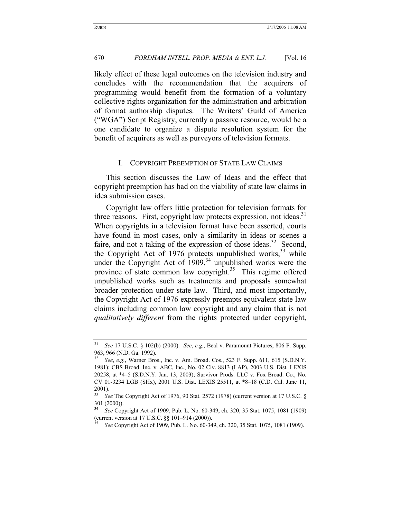likely effect of these legal outcomes on the television industry and concludes with the recommendation that the acquirers of programming would benefit from the formation of a voluntary collective rights organization for the administration and arbitration of format authorship disputes. The Writers' Guild of America ("WGA") Script Registry, currently a passive resource, would be a one candidate to organize a dispute resolution system for the benefit of acquirers as well as purveyors of television formats.

#### I. COPYRIGHT PREEMPTION OF STATE LAW CLAIMS

This section discusses the Law of Ideas and the effect that copyright preemption has had on the viability of state law claims in idea submission cases.

Copyright law offers little protection for television formats for three reasons. First, copyright law protects expression, not ideas.<sup>31</sup> When copyrights in a television format have been asserted, courts have found in most cases, only a similarity in ideas or scenes a faire, and not a taking of the expression of those ideas.<sup>32</sup> Second, the Copyright Act of 1976 protects unpublished works,  $33$  while under the Copyright Act of  $1909<sub>1</sub><sup>34</sup>$  unpublished works were the province of state common law copyright.<sup>35</sup> This regime offered unpublished works such as treatments and proposals somewhat broader protection under state law. Third, and most importantly, the Copyright Act of 1976 expressly preempts equivalent state law claims including common law copyright and any claim that is not *qualitatively different* from the rights protected under copyright,

<sup>31</sup> *See* 17 U.S.C. § 102(b) (2000). *See*, *e.g.*, Beal v. Paramount Pictures, 806 F. Supp. 963, 966 (N.D. Ga. 1992).

<sup>32</sup> *See*, *e.g.*, Warner Bros., Inc. v. Am. Broad. Cos., 523 F. Supp. 611, 615 (S.D.N.Y. 1981); CBS Broad. Inc. v. ABC, Inc., No. 02 Civ. 8813 (LAP), 2003 U.S. Dist. LEXIS 20258, at \*4–5 (S.D.N.Y. Jan. 13, 2003); Survivor Prods. LLC v. Fox Broad. Co., No. CV 01-3234 LGB (SHx), 2001 U.S. Dist. LEXIS 25511, at \*8–18 (C.D. Cal. June 11,  $^{2001)}_{33}$ .

<sup>33</sup> *See* The Copyright Act of 1976, 90 Stat. 2572 (1978) (current version at 17 U.S.C. § 301 (2000)).

<sup>34</sup> *See* Copyright Act of 1909, Pub. L. No. 60-349, ch. 320, 35 Stat. 1075, 1081 (1909) (current version at 17 U.S.C. §§ 101–914 (2000)).

<sup>35</sup> *See* Copyright Act of 1909, Pub. L. No. 60-349, ch. 320, 35 Stat. 1075, 1081 (1909).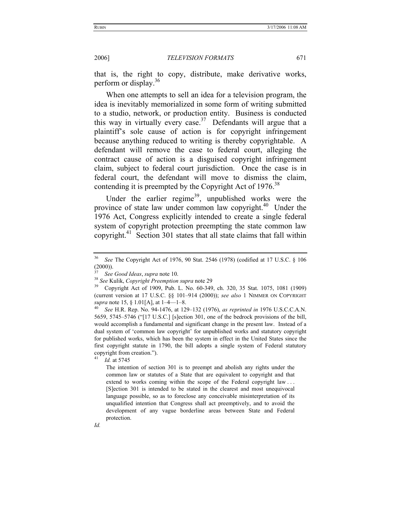that is, the right to copy, distribute, make derivative works, perform or display.<sup>36</sup>

When one attempts to sell an idea for a television program, the idea is inevitably memorialized in some form of writing submitted to a studio, network, or production entity. Business is conducted this way in virtually every case.<sup>37</sup> Defendants will argue that a plaintiff's sole cause of action is for copyright infringement because anything reduced to writing is thereby copyrightable. A defendant will remove the case to federal court, alleging the contract cause of action is a disguised copyright infringement claim, subject to federal court jurisdiction. Once the case is in federal court, the defendant will move to dismiss the claim, contending it is preempted by the Copyright Act of 1976.<sup>38</sup>

Under the earlier regime<sup>39</sup>, unpublished works were the province of state law under common law copyright.<sup>40</sup> Under the 1976 Act, Congress explicitly intended to create a single federal system of copyright protection preempting the state common law copyright.<sup>41</sup> Section 301 states that all state claims that fall within

*Id.* 

<sup>36</sup> *See* The Copyright Act of 1976, 90 Stat. 2546 (1978) (codified at 17 U.S.C. § 106  $(2000)$ ).

<sup>&</sup>lt;sup>37</sup> See Good Ideas, *supra* note 10.<br><sup>38</sup> See Kulik, *Copyright Preemption supra* note 29<br><sup>39</sup> Copyright Act of 1909, Pub. L. No. 60-349, ch. 320, 35 Stat. 1075, 1081 (1909) (current version at 17 U.S.C. §§ 101–914 (2000)); *see also* 1 NIMMER ON COPYRIGHT *supra* note 15, § 1.01[A], at 1–4—1–8.<br><sup>40</sup> *See* H.R. Rep. No. 94-1476, at 129–132 (1976), *as reprinted in* 1976 U.S.C.C.A.N.

<sup>5659, 5745–5746 (&</sup>quot;[17 U.S.C.] [s]ection 301, one of the bedrock provisions of the bill, would accomplish a fundamental and significant change in the present law. Instead of a dual system of 'common law copyright' for unpublished works and statutory copyright for published works, which has been the system in effect in the United States since the first copyright statute in 1790, the bill adopts a single system of Federal statutory copyright from creation.").

<sup>41</sup> *Id.* at 5745

The intention of section 301 is to preempt and abolish any rights under the common law or statutes of a State that are equivalent to copyright and that extend to works coming within the scope of the Federal copyright law ... [S]ection 301 is intended to be stated in the clearest and most unequivocal language possible, so as to foreclose any conceivable misinterpretation of its unqualified intention that Congress shall act preemptively, and to avoid the development of any vague borderline areas between State and Federal protection.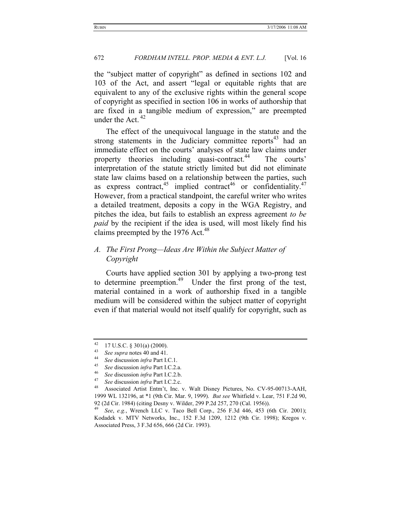the "subject matter of copyright" as defined in sections 102 and 103 of the Act, and assert "legal or equitable rights that are equivalent to any of the exclusive rights within the general scope of copyright as specified in section 106 in works of authorship that are fixed in a tangible medium of expression," are preempted under the Act. 42

The effect of the unequivocal language in the statute and the strong statements in the Judiciary committee reports $43$  had an immediate effect on the courts' analyses of state law claims under property theories including quasi-contract.<sup>44</sup> The courts' interpretation of the statute strictly limited but did not eliminate state law claims based on a relationship between the parties, such as express contract,<sup>45</sup> implied contract<sup>46</sup> or confidentiality.<sup>47</sup> However, from a practical standpoint, the careful writer who writes a detailed treatment, deposits a copy in the WGA Registry, and pitches the idea, but fails to establish an express agreement *to be paid* by the recipient if the idea is used, will most likely find his claims preempted by the 1976 Act.<sup>48</sup>

# *A. The First Prong—Ideas Are Within the Subject Matter of Copyright*

Courts have applied section 301 by applying a two-prong test to determine preemption.<sup>49</sup> Under the first prong of the test, material contained in a work of authorship fixed in a tangible medium will be considered within the subject matter of copyright even if that material would not itself qualify for copyright, such as

<sup>&</sup>lt;sup>42</sup> 17 U.S.C. § 301(a) (2000).

<sup>&</sup>lt;sup>43</sup> See supra notes 40 and 41.<br>
<sup>44</sup> See discussion *infra* Part I.C.1.<br>
<sup>45</sup> See discussion *infra* Part I.C.2.a.<br>
<sup>46</sup> See discussion *infra* Part I.C.2.b.<br>
<sup>47</sup> See discussion *infra* Part I.C.2.c.<br>
<sup>48</sup> Associated Ar 1999 WL 132196, at \*1 (9th Cir. Mar. 9, 1999). *But see* Whitfield v. Lear, 751 F.2d 90, 92 (2d Cir. 1984) (citing Desny v. Wilder, 299 P.2d 257, 270 (Cal. 1956)).

<sup>49</sup> *See*, *e.g.*, Wrench LLC v. Taco Bell Corp., 256 F.3d 446, 453 (6th Cir. 2001); Kodadek v. MTV Networks, Inc., 152 F.3d 1209, 1212 (9th Cir. 1998); Kregos v. Associated Press, 3 F.3d 656, 666 (2d Cir. 1993).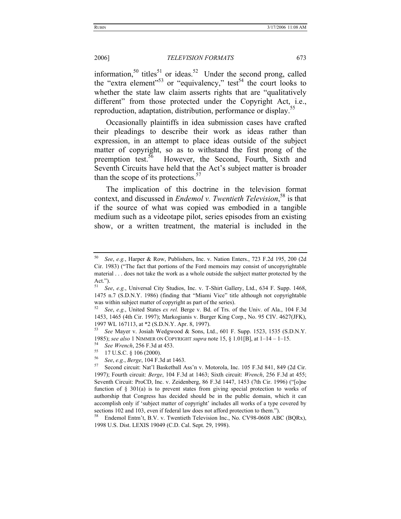information,<sup>50</sup> titles<sup>51</sup> or ideas.<sup>52</sup> Under the second prong, called the "extra element"<sup>53</sup> or "equivalency," test<sup>54</sup> the court looks to whether the state law claim asserts rights that are "qualitatively different" from those protected under the Copyright Act, i.e., reproduction, adaptation, distribution, performance or display.<sup>35</sup>

Occasionally plaintiffs in idea submission cases have crafted their pleadings to describe their work as ideas rather than expression, in an attempt to place ideas outside of the subject matter of copyright, so as to withstand the first prong of the preemption test.<sup>56</sup> However, the Second, Fourth, Sixth and Seventh Circuits have held that the Act's subject matter is broader than the scope of its protections. $57$ 

The implication of this doctrine in the television format context, and discussed in *Endemol v. Twentieth Television*, 58 is that if the source of what was copied was embodied in a tangible medium such as a videotape pilot, series episodes from an existing show, or a written treatment, the material is included in the

<sup>50</sup> *See*, *e.g.*, Harper & Row, Publishers, Inc. v. Nation Enters., 723 F.2d 195, 200 (2d Cir. 1983) ("The fact that portions of the Ford memoirs may consist of uncopyrightable material . . . does not take the work as a whole outside the subject matter protected by the Act.").

<sup>51</sup> *See*, *e.g.*, Universal City Studios, Inc. v. T-Shirt Gallery, Ltd., 634 F. Supp. 1468, 1475 n.7 (S.D.N.Y. 1986) (finding that "Miami Vice" title although not copyrightable was within subject matter of copyright as part of the series). 52 *See*, *e.g.*, United States *ex rel.* Berge v. Bd. of Trs. of the Univ. of Ala., 104 F.3d

<sup>1453, 1465 (4</sup>th Cir. 1997); Markogianis v. Burger King Corp., No. 95 CIV. 4627(JFK), 1997 WL 167113, at \*2 (S.D.N.Y. Apr. 8, 1997).

<sup>53</sup> *See* Mayer v. Josiah Wedgwood & Sons, Ltd., 601 F. Supp. 1523, 1535 (S.D.N.Y. 1985); *see also* 1 NIMMER ON COPYRIGHT *supra* note 15, § 1.01[B], at 1–14 – 1–15.<br><sup>54</sup> See Wrench, 256 F.3d at 453.<br><sup>55</sup> 17 U.S.C. § 106 (2000).

<sup>56</sup> *See*, *e.g.*, *Berge*, 104 F.3d at 1463. 57 Second circuit: Nat'l Basketball Ass'n v. Motorola, Inc. 105 F.3d 841, 849 (2d Cir. 1997); Fourth circuit: *Berge*, 104 F.3d at 1463; Sixth circuit: *Wrench*, 256 F.3d at 455; Seventh Circuit: ProCD, Inc. v. Zeidenberg, 86 F.3d 1447, 1453 (7th Cir. 1996) ("[o]ne function of  $\S$  301(a) is to prevent states from giving special protection to works of authorship that Congress has decided should be in the public domain, which it can accomplish only if 'subject matter of copyright' includes all works of a type covered by sections 102 and 103, even if federal law does not afford protection to them.").<br><sup>58</sup> Endemol Entm't, B.V. v. Twentieth Television Inc., No. CV98-0608 ABC (BQRx),

<sup>1998</sup> U.S. Dist. LEXIS 19049 (C.D. Cal. Sept. 29, 1998).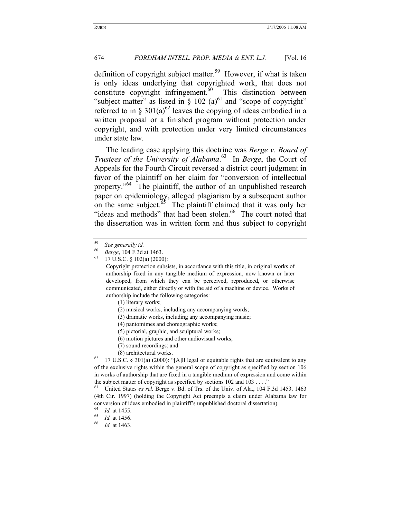definition of copyright subject matter.<sup>59</sup> However, if what is taken is only ideas underlying that copyrighted work, that does not constitute copyright infringement. $60$  This distinction between "subject matter" as listed in  $\S$  102 (a)<sup>61</sup> and "scope of copyright" referred to in § 301(a)<sup>62</sup> leaves the copying of ideas embodied in a written proposal or a finished program without protection under copyright, and with protection under very limited circumstances under state law.

The leading case applying this doctrine was *Berge v. Board of Trustees of the University of Alabama*. 63 In *Berge*, the Court of Appeals for the Fourth Circuit reversed a district court judgment in favor of the plaintiff on her claim for "conversion of intellectual property."<sup>64</sup> The plaintiff, the author of an unpublished research paper on epidemiology, alleged plagiarism by a subsequent author on the same subject. $\overline{65}$  The plaintiff claimed that it was only her "ideas and methods" that had been stolen.<sup>66</sup> The court noted that the dissertation was in written form and thus subject to copyright

- (2) musical works, including any accompanying words;
- (3) dramatic works, including any accompanying music;
- (4) pantomimes and choreographic works;
- (5) pictorial, graphic, and sculptural works;
- (6) motion pictures and other audiovisual works;
- (7) sound recordings; and
- 

(8) architectural works.<br><sup>62</sup> 17 U.S.C. § 301(a) (2000): "[A]ll legal or equitable rights that are equivalent to any of the exclusive rights within the general scope of copyright as specified by section 106 in works of authorship that are fixed in a tangible medium of expression and come within the subject matter of copyright as specified by sections 102 and 103 . . . ."<br><sup>63</sup> United States *ex rel.* Berge v. Bd. of Trs. of the Univ. of Ala., 104 F.3d 1453, 1463

(4th Cir. 1997) (holding the Copyright Act preempts a claim under Alabama law for conversion of ideas embodied in plaintiff's unpublished doctoral dissertation).<br>
<sup>64</sup> *Id.* at 1455.<br>
<sup>65</sup> *Id.* at 1456.<br>
<sup>66</sup> *Id.* at 1463.

<sup>59</sup> *See generally id.*

<sup>60</sup> *Berge*, 104 F.3d at 1463. 61 17 U.S.C. § 102(a) (2000):

Copyright protection subsists, in accordance with this title, in original works of authorship fixed in any tangible medium of expression, now known or later developed, from which they can be perceived, reproduced, or otherwise communicated, either directly or with the aid of a machine or device. Works of authorship include the following categories:

<sup>(1)</sup> literary works;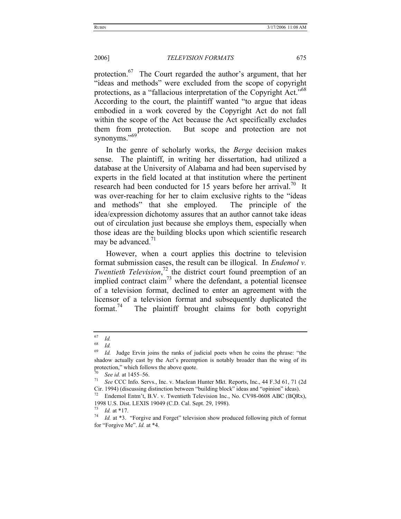protection.<sup>67</sup> The Court regarded the author's argument, that her "ideas and methods" were excluded from the scope of copyright protections, as a "fallacious interpretation of the Copyright Act."<sup>68</sup> According to the court, the plaintiff wanted "to argue that ideas embodied in a work covered by the Copyright Act do not fall within the scope of the Act because the Act specifically excludes them from protection. But scope and protection are not synonyms."<sup>69</sup>

In the genre of scholarly works, the *Berge* decision makes sense. The plaintiff, in writing her dissertation, had utilized a database at the University of Alabama and had been supervised by experts in the field located at that institution where the pertinent research had been conducted for 15 years before her arrival.<sup>70</sup> It was over-reaching for her to claim exclusive rights to the "ideas and methods" that she employed. The principle of the idea/expression dichotomy assures that an author cannot take ideas out of circulation just because she employs them, especially when those ideas are the building blocks upon which scientific research may be advanced. $71$ 

However, when a court applies this doctrine to television format submission cases, the result can be illogical. In *Endemol v. Twentieth Television*, 72 the district court found preemption of an implied contract  $\text{claim}^{73}$  where the defendant, a potential licensee of a television format, declined to enter an agreement with the licensor of a television format and subsequently duplicated the format.<sup>74</sup> The plaintiff brought claims for both copyright

 $\begin{bmatrix} 67 & Id. \\ 68 & Id. \end{bmatrix}$ 

 $\begin{array}{cc} 68 & Id. \\ 69 & Id. \end{array}$ 

Id. Judge Ervin joins the ranks of judicial poets when he coins the phrase: "the shadow actually cast by the Act's preemption is notably broader than the wing of its protection," which follows the above quote.

<sup>70</sup> *See id.* at 1455–56. 71 *See* CCC Info. Servs., Inc. v. Maclean Hunter Mkt. Reports, Inc., 44 F.3d 61, 71 (2d Cir. 1994) (discussing distinction between "building block" ideas and "opinion" ideas). 72 Endemol Entm't, B.V. v. Twentieth Television Inc., No. CV98-0608 ABC (BQRx),

<sup>1998</sup> U.S. Dist. LEXIS 19049 (C.D. Cal. Sept. 29, 1998).<br><sup>73</sup> *Id.* at \*17.<br><sup>74</sup> *Id.* at \*3. "Forgive and Forget" television show produced following pitch of format

for "Forgive Me". *Id.* at \*4.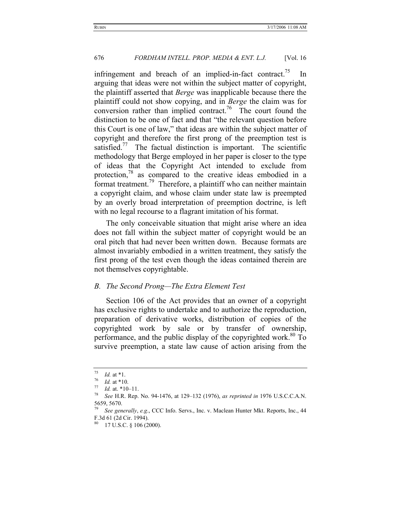infringement and breach of an implied-in-fact contract.<sup>75</sup> In arguing that ideas were not within the subject matter of copyright, the plaintiff asserted that *Berge* was inapplicable because there the plaintiff could not show copying, and in *Berge* the claim was for conversion rather than implied contract.<sup>76</sup> The court found the distinction to be one of fact and that "the relevant question before this Court is one of law," that ideas are within the subject matter of copyright and therefore the first prong of the preemption test is satisfied.<sup>77</sup> The factual distinction is important. The scientific methodology that Berge employed in her paper is closer to the type of ideas that the Copyright Act intended to exclude from protection,<sup>78</sup> as compared to the creative ideas embodied in a format treatment.79 Therefore, a plaintiff who can neither maintain a copyright claim, and whose claim under state law is preempted by an overly broad interpretation of preemption doctrine, is left with no legal recourse to a flagrant imitation of his format.

The only conceivable situation that might arise where an idea does not fall within the subject matter of copyright would be an oral pitch that had never been written down. Because formats are almost invariably embodied in a written treatment, they satisfy the first prong of the test even though the ideas contained therein are not themselves copyrightable.

#### *B. The Second Prong—The Extra Element Test*

Section 106 of the Act provides that an owner of a copyright has exclusive rights to undertake and to authorize the reproduction, preparation of derivative works, distribution of copies of the copyrighted work by sale or by transfer of ownership, performance, and the public display of the copyrighted work. $80$  To survive preemption, a state law cause of action arising from the

<sup>75</sup> *Id.* at \*1. 76 *Id.* at \*10. 77 *Id.* at. \*10–11. 78 *See* H.R. Rep. No. 94-1476, at 129–132 (1976), *as reprinted in* 1976 U.S.C.C.A.N. 5659, 5670.

<sup>79</sup> *See generally*, *e.g*., CCC Info. Servs., Inc. v. Maclean Hunter Mkt. Reports, Inc., 44 F.3d 61 (2d Cir. 1994).

<sup>17</sup> U.S.C. § 106 (2000).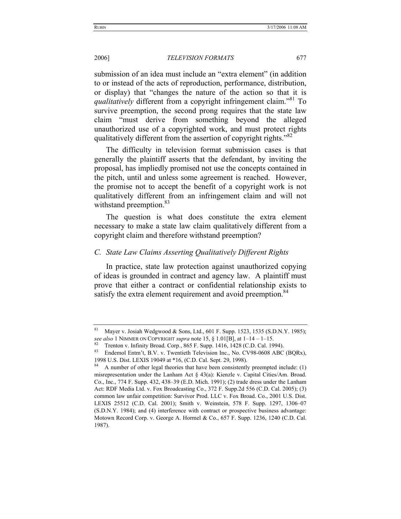submission of an idea must include an "extra element" (in addition to or instead of the acts of reproduction, performance, distribution, or display) that "changes the nature of the action so that it is *qualitatively* different from a copyright infringement claim.<sup>"81</sup> To survive preemption, the second prong requires that the state law claim "must derive from something beyond the alleged unauthorized use of a copyrighted work, and must protect rights qualitatively different from the assertion of copyright rights."<sup>82</sup>

The difficulty in television format submission cases is that generally the plaintiff asserts that the defendant, by inviting the proposal, has impliedly promised not use the concepts contained in the pitch, until and unless some agreement is reached. However, the promise not to accept the benefit of a copyright work is not qualitatively different from an infringement claim and will not withstand preemption.<sup>83</sup>

The question is what does constitute the extra element necessary to make a state law claim qualitatively different from a copyright claim and therefore withstand preemption?

# *C. State Law Claims Asserting Qualitatively Different Rights*

In practice, state law protection against unauthorized copying of ideas is grounded in contract and agency law. A plaintiff must prove that either a contract or confidential relationship exists to satisfy the extra element requirement and avoid preemption.<sup>84</sup>

<sup>&</sup>lt;sup>81</sup> Mayer v. Josiah Wedgwood & Sons, Ltd., 601 F. Supp. 1523, 1535 (S.D.N.Y. 1985); see also 1 NIMMER ON COPYRIGHT supra note 15, § 1.01[B], at  $1-14-1-15$ .<br><sup>82</sup> Trenton v. Infinity Broad. Corp., 865 F. Supp. 1416, 1428 (C.D. Cal. 1994).<br><sup>83</sup> Endemol Entm't, B.V. v. Twentieth Television Inc., No. CV98-06

<sup>1998</sup> U.S. Dist. LEXIS 19049 at \*16, (C.D. Cal. Sept. 29, 1998).

A number of other legal theories that have been consistently preempted include: (1) misrepresentation under the Lanham Act § 43(a): Kienzle v. Capital Cities/Am. Broad. Co., Inc., 774 F. Supp. 432, 438–39 (E.D. Mich. 1991); (2) trade dress under the Lanham Act: RDF Media Ltd. v. Fox Broadcasting Co., 372 F. Supp.2d 556 (C.D. Cal. 2005); (3) common law unfair competition: Survivor Prod. LLC v. Fox Broad. Co., 2001 U.S. Dist. LEXIS 25512 (C.D. Cal. 2001); Smith v. Weinstein, 578 F. Supp. 1297, 1306–07 (S.D.N.Y. 1984); and (4) interference with contract or prospective business advantage: Motown Record Corp. v. George A. Hormel & Co., 657 F. Supp. 1236, 1240 (C.D. Cal. 1987).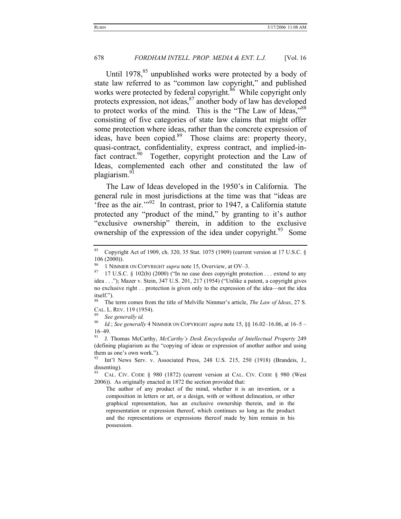Until 1978, $85$  unpublished works were protected by a body of state law referred to as "common law copyright," and published works were protected by federal copyright.<sup>86</sup> While copyright only protects expression, not ideas, $87$  another body of law has developed to protect works of the mind. This is the "The Law of Ideas,"<sup>88</sup> consisting of five categories of state law claims that might offer some protection where ideas, rather than the concrete expression of ideas, have been copied.<sup>89</sup> Those claims are: property theory, quasi-contract, confidentiality, express contract, and implied-infact contract.<sup>90</sup> Together, copyright protection and the Law of Ideas, complemented each other and constituted the law of plagiarism.<sup>91</sup>

The Law of Ideas developed in the 1950's in California. The general rule in most jurisdictions at the time was that "ideas are 'free as the air.'"92 In contrast, prior to 1947, a California statute protected any "product of the mind," by granting to it's author "exclusive ownership" therein, in addition to the exclusive ownership of the expression of the idea under copyright.<sup>93</sup> Some

<sup>&</sup>lt;sup>85</sup> Copyright Act of 1909, ch. 320, 35 Stat. 1075 (1909) (current version at 17 U.S.C. §  $106 (2000)$ .

<sup>&</sup>lt;sup>86</sup> 1 NIMMER ON COPYRIGHT *supra* note 15, Overview, at OV–3.<br><sup>87</sup> 17 U.S.C. § 102(b) (2000) ("In no case does copyright protection . . . extend to any idea . . ."); Mazer v. Stein, 347 U.S. 201, 217 (1954) ("Unlike a patent, a copyright gives no exclusive right . . protection is given only to the expression of the idea—not the idea itself.").

<sup>88</sup> The term comes from the title of Melville Nimmer's article, *The Law of Ideas*, 27 S. CAL. L. REV. 119 (1954). 89 *See generally id.*

<sup>90</sup> *Id.*; *See generally* 4 NIMMER ON COPYRIGHT *supra* note 15, §§ 16.02–16.06, at 16–5 – 16–49.

<sup>91</sup> J. Thomas McCarthy, *McCarthy's Desk Encyclopedia of Intellectual Property* 249 (defining plagiarism as the "copying of ideas or expression of another author and using them as one's own work.").

<sup>92</sup> Int'l News Serv. v. Associated Press, 248 U.S. 215, 250 (1918) (Brandeis, J., dissenting).

<sup>&</sup>lt;sup>93</sup> CAL. CIV. CODE § 980 (1872) (current version at CAL. CIV. CODE § 980 (West 2006)). As originally enacted in 1872 the section provided that:

The author of any product of the mind, whether it is an invention, or a composition in letters or art, or a design, with or without delineation, or other graphical representation, has an exclusive ownership therein, and in the representation or expression thereof, which continues so long as the product and the representations or expressions thereof made by him remain in his possession.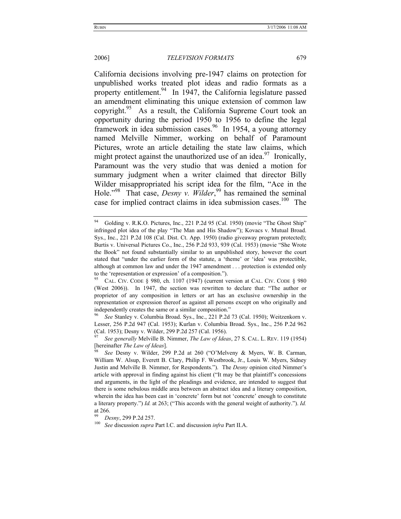California decisions involving pre-1947 claims on protection for unpublished works treated plot ideas and radio formats as a property entitlement.<sup>94</sup> In 1947, the California legislature passed an amendment eliminating this unique extension of common law copyright.<sup>95</sup> As a result, the California Supreme Court took an opportunity during the period 1950 to 1956 to define the legal framework in idea submission cases.<sup>96</sup> In 1954, a young attorney named Melville Nimmer, working on behalf of Paramount Pictures, wrote an article detailing the state law claims, which might protect against the unauthorized use of an idea.<sup>97</sup> Ironically, Paramount was the very studio that was denied a motion for summary judgment when a writer claimed that director Billy Wilder misappropriated his script idea for the film, "Ace in the Hole."<sup>98</sup> That case, *Desny v. Wilder*,<sup>99</sup> has remained the seminal case for implied contract claims in idea submission cases.<sup>100</sup> The

<sup>&</sup>lt;sup>94</sup> Golding v. R.K.O. Pictures, Inc., 221 P.2d 95 (Cal. 1950) (movie "The Ghost Ship" infringed plot idea of the play "The Man and His Shadow"); Kovacs v. Mutual Broad. Sys., Inc., 221 P.2d 108 (Cal. Dist. Ct. App. 1950) (radio giveaway program protected); Burtis v. Universal Pictures Co., Inc., 256 P.2d 933, 939 (Cal. 1953) (movie "She Wrote the Book" not found substantially similar to an unpublished story, however the court stated that "under the earlier form of the statute, a 'theme' or 'idea' was protectible, although at common law and under the 1947 amendment . . . protection is extended only to the 'representation or expression' of a composition.").<br><sup>95</sup> CAL. CIV. CODE § 980, ch. 1107 (1947) (current version at CAL. CIV. CODE § 980

<sup>(</sup>West 2006)). In 1947, the section was rewritten to declare that: "The author or proprietor of any composition in letters or art has an exclusive ownership in the representation or expression thereof as against all persons except on who originally and independently creates the same or a similar composition."

<sup>96</sup> *See* Stanley v. Columbia Broad. Sys., Inc., 221 P.2d 73 (Cal. 1950); Weitzenkorn v. Lesser, 256 P.2d 947 (Cal. 1953); Kurlan v. Columbia Broad. Sys., Inc., 256 P.2d 962 (Cal. 1953); Desny v. Wilder, 299 P.2d 257 (Cal. 1956).

<sup>97</sup> *See generally* Melville B. Nimmer, *The Law of Ideas*, 27 S. CAL. L. REV. 119 (1954) [hereinafter *The Law of Ideas*]. 98 *See* Desny v. Wilder, 299 P.2d at 260 ("O'Melveny & Myers, W. B. Carman,

William W. Alsup, Everett B. Clary, Philip F. Westbrook, Jr., Louis W. Myers, Sidney Justin and Melville B. Nimmer, for Respondents."). The *Desny* opinion cited Nimmer's article with approval in finding against his client ("It may be that plaintiff's concessions and arguments, in the light of the pleadings and evidence, are intended to suggest that there is some nebulous middle area between an abstract idea and a literary composition, wherein the idea has been cast in 'concrete' form but not 'concrete' enough to constitute a literary property.") *Id.* at 263; ("This accords with the general weight of authority."). *Id.* at 266.

<sup>99</sup> *Desny*, 299 P.2d 257. 100 *See* discussion *supra* Part I.C. and discussion *infra* Part II.A.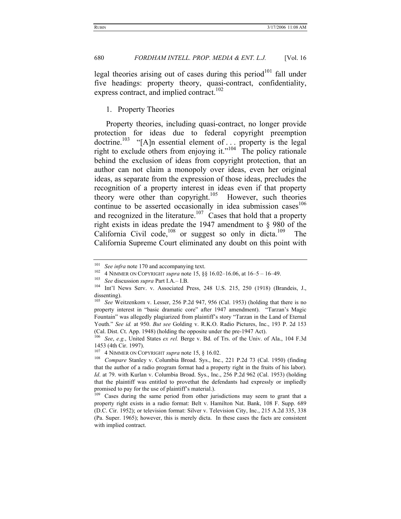legal theories arising out of cases during this period<sup>101</sup> fall under five headings: property theory, quasi-contract, confidentiality, express contract, and implied contract.<sup>102</sup>

#### 1. Property Theories

Property theories, including quasi-contract, no longer provide protection for ideas due to federal copyright preemption doctrine.<sup>103</sup> "[A]n essential element of ... property is the legal right to exclude others from enjoying it."104 The policy rationale behind the exclusion of ideas from copyright protection, that an author can not claim a monopoly over ideas, even her original ideas, as separate from the expression of those ideas, precludes the recognition of a property interest in ideas even if that property theory were other than copyright.<sup>105</sup> However, such theories continue to be asserted occasionally in idea submission cases<sup>106</sup> and recognized in the literature.<sup>107</sup> Cases that hold that a property right exists in ideas predate the 1947 amendment to § 980 of the California Civil code,<sup>108</sup> or suggest so only in dicta.<sup>109</sup> The California Supreme Court eliminated any doubt on this point with

<sup>&</sup>lt;sup>101</sup> See infra note 170 and accompanying text.<br><sup>102</sup> 4 NIMMER ON COPYRIGHT *supra* note 15, §§ 16.02–16.06, at 16–5 – 16–49.<br><sup>103</sup> See discussion *supra* Part I.A.– I.B.<br><sup>103</sup> Int'l News Serv. v. Associated Press, 248 U. dissenting).

See Weitzenkorn v. Lesser, 256 P.2d 947, 956 (Cal. 1953) (holding that there is no property interest in "basic dramatic core" after 1947 amendment). "Tarzan's Magic Fountain" was allegedly plagiarized from plaintiff's story "Tarzan in the Land of Eternal Youth." *See id.* at 950. *But see* Golding v. R.K.O. Radio Pictures, Inc., 193 P. 2d 153 (Cal. Dist. Ct. App. 1948) (holding the opposite under the pre-1947 Act).

<sup>106</sup> *See*, *e.g.*, United States *ex rel.* Berge v. Bd. of Trs. of the Univ. of Ala., 104 F.3d 1453 (4th Cir. 1997).<br><sup>107</sup> 4 NIMMER ON COPYRIGHT *supra* note 15, § 16.02.

<sup>&</sup>lt;sup>108</sup> Compare Stanley v. Columbia Broad. Sys., Inc., 221 P.2d 73 (Cal. 1950) (finding that the author of a radio program format had a property right in the fruits of his labor). *Id.* at 79. with Kurlan v. Columbia Broad. Sys., Inc., 256 P.2d 962 (Cal. 1953) (holding that the plaintiff was entitled to provethat the defendants had expressly or impliedly promised to pay for the use of plaintiff's material.).<br><sup>109</sup> Cases during the same period from other jurisdictions may seem to grant that a

property right exists in a radio format: Belt v. Hamilton Nat. Bank, 108 F. Supp. 689 (D.C. Cir. 1952); or television format: Silver v. Television City, Inc., 215 A.2d 335, 338 (Pa. Super. 1965); however, this is merely dicta. In these cases the facts are consistent with implied contract.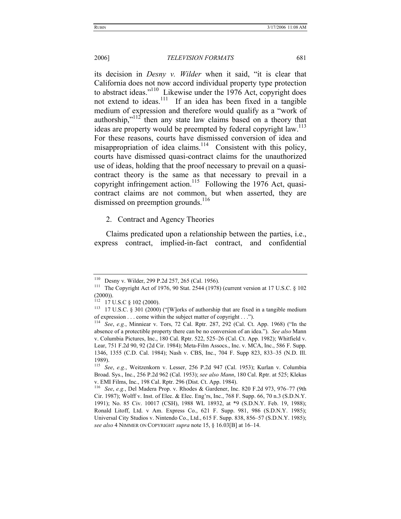its decision in *Desny v. Wilder* when it said, "it is clear that California does not now accord individual property type protection to abstract ideas."<sup>110</sup> Likewise under the 1976 Act, copyright does not extend to ideas.<sup>111</sup> If an idea has been fixed in a tangible medium of expression and therefore would qualify as a "work of authorship,"<sup>112</sup> then any state law claims based on a theory that ideas are property would be preempted by federal copyright law.<sup>113</sup> For these reasons, courts have dismissed conversion of idea and misappropriation of idea claims.<sup>114</sup> Consistent with this policy, courts have dismissed quasi-contract claims for the unauthorized use of ideas, holding that the proof necessary to prevail on a quasicontract theory is the same as that necessary to prevail in a copyright infringement action.<sup>115</sup> Following the 1976 Act, quasicontract claims are not common, but when asserted, they are dismissed on preemption grounds.<sup>116</sup>

2. Contract and Agency Theories

Claims predicated upon a relationship between the parties, i.e., express contract, implied-in-fact contract, and confidential

<sup>110</sup> Desny v. Wilder, 299 P.2d 257, 265 (Cal. 1956). 111 The Copyright Act of 1976, 90 Stat. 2544 (1978) (current version at 17 U.S.C. § 102  $(2000)$ ).

<sup>&</sup>lt;sup>112</sup> 17 U.S.C § 102 (2000).<br><sup>113</sup> 17 U.S.C. § 301 (2000) ("[W]orks of authorship that are fixed in a tangible medium of expression . . . come within the subject matter of copyright . . .").

<sup>114</sup> *See*, *e.g.*, Minniear v. Tors, 72 Cal. Rptr. 287, 292 (Cal. Ct. App. 1968) ("In the absence of a protectible property there can be no conversion of an idea."). *See also* Mann v. Columbia Pictures, Inc., 180 Cal. Rptr. 522, 525–26 (Cal. Ct. App. 1982); Whitfield v. Lear, 751 F.2d 90, 92 (2d Cir. 1984); Meta-Film Assocs., Inc. v. MCA, Inc., 586 F. Supp. 1346, 1355 (C.D. Cal. 1984); Nash v. CBS, Inc., 704 F. Supp 823, 833–35 (N.D. Ill. 1989).

<sup>115</sup> *See*, *e.g.*, Weitzenkorn v. Lesser, 256 P.2d 947 (Cal. 1953); Kurlan v. Columbia Broad. Sys., Inc., 256 P.2d 962 (Cal. 1953); *see also Mann*, 180 Cal. Rptr. at 525; Klekas v. EMI Films, Inc., 198 Cal. Rptr. 296 (Dist. Ct. App. 1984). 116 *See*, *e.g.*, Del Madera Prop. v. Rhodes & Gardener, Inc. 820 F.2d 973, 976–77 (9th

Cir. 1987); Wolff v. Inst. of Elec. & Elec. Eng'rs, Inc., 768 F. Supp. 66, 70 n.3 (S.D.N.Y. 1991); No. 85 Civ. 10017 (CSH), 1988 WL 18932, at \*9 (S.D.N.Y. Feb. 19, 1988); Ronald Litoff, Ltd. v Am. Express Co., 621 F. Supp. 981, 986 (S.D.N.Y. 1985); Universal City Studios v. Nintendo Co., Ltd., 615 F. Supp. 838, 856–57 (S.D.N.Y. 1985); *see also* 4 NIMMER ON COPYRIGHT *supra* note 15, § 16.03[B] at 16–14.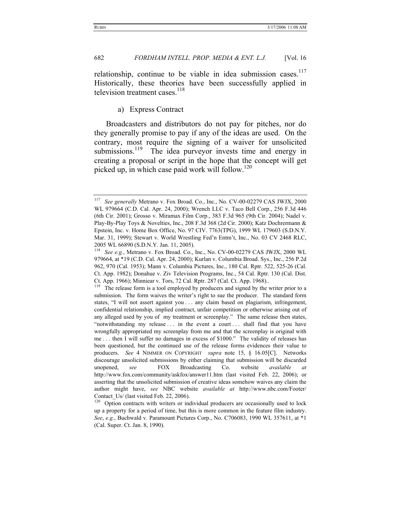relationship, continue to be viable in idea submission cases.<sup>117</sup> Historically, these theories have been successfully applied in television treatment cases.<sup>118</sup>

#### a) Express Contract

Broadcasters and distributors do not pay for pitches, nor do they generally promise to pay if any of the ideas are used. On the contrary, most require the signing of a waiver for unsolicited submissions.<sup>119</sup> The idea purveyor invests time and energy in creating a proposal or script in the hope that the concept will get picked up, in which case paid work will follow.<sup>120</sup>

<sup>117</sup> *See generally* Metrano v. Fox Broad. Co., Inc., No. CV-00-02279 CAS JWJX, 2000 WL 979664 (C.D. Cal. Apr. 24, 2000); Wrench LLC v. Taco Bell Corp., 256 F.3d 446 (6th Cir. 2001); Grosso v. Miramax Film Corp., 383 F.3d 965 (9th Cir. 2004); Nadel v. Play-By-Play Toys & Novelties, Inc., 208 F.3d 368 (2d Cir. 2000); Katz Dochrermann & Epstein, Inc. v. Home Box Office, No. 97 CIV. 7763(TPG), 1999 WL 179603 (S.D.N.Y. Mar. 31, 1999); Stewart v. World Wrestling Fed'n Entm't, Inc., No. 03 CV 2468 RLC, 2005 WL 66890 (S.D.N.Y. Jan. 11, 2005).

See e.g., Metrano v. Fox Broad. Co., Inc., No. CV-00-02279 CAS JWJX, 2000 WL 979664, at \*19 (C.D. Cal. Apr. 24, 2000); Kurlan v. Columbia Broad. Sys., Inc., 256 P.2d 962, 970 (Cal. 1953); Mann v. Columbia Pictures, Inc., 180 Cal. Rptr. 522, 525-26 (Cal. Ct. App. 1982); Donahue v. Ziv Television Programs, Inc., 54 Cal. Rptr. 130 (Cal. Dist. Ct. App. 1966); Minniear v. Tors, 72 Cal. Rptr. 287 (Cal. Ct. App. 1968)..

<sup>&</sup>lt;sup>119</sup> The release form is a tool employed by producers and signed by the writer prior to a submission. The form waives the writer's right to sue the producer. The standard form states, "I will not assert against you . . . any claim based on plagiarism, infringement, confidential relationship, implied contract, unfair competition or otherwise arising out of any alleged used by you of my treatment or screenplay." The same release then states, "notwithstanding my release ... in the event a court ... shall find that you have wrongfully appropriated my screenplay from me and that the screenplay is original with me . . . then I will suffer no damages in excess of \$1000." The validity of releases has been questioned, but the continued use of the release forms evidences their value to producers. *See* 4 NIMMER ON COPYRIGHT *supra* note 15, § 16.05[C]. Networks discourage unsolicited submissions by either claiming that submission will be discarded unopened, *see* FOX Broadcasting Co. website *available at*  http://www.fox.com/community/askfox/answer11.htm (last visited Feb. 22, 2006); or asserting that the unsolicited submission of creative ideas somehow waives any claim the author might have, *see* NBC website *available at* http://www.nbc.com/Footer/ Contact Us/ (last visited Feb. 22, 2006).

<sup>&</sup>lt;sup>120</sup> Option contracts with writers or individual producers are occasionally used to lock up a property for a period of time, but this is more common in the feature film industry. *See*, *e.g.*, Buchwald v. Paramount Pictures Corp., No. C706083, 1990 WL 357611, at \*1 (Cal. Super. Ct. Jan. 8, 1990).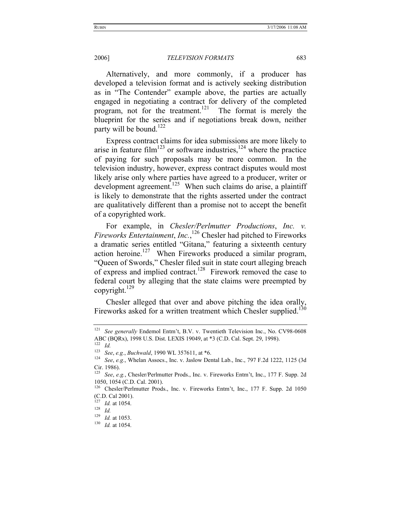Alternatively, and more commonly, if a producer has developed a television format and is actively seeking distribution as in "The Contender" example above, the parties are actually engaged in negotiating a contract for delivery of the completed program, not for the treatment.<sup>121</sup> The format is merely the blueprint for the series and if negotiations break down, neither party will be bound.<sup>122</sup>

Express contract claims for idea submissions are more likely to arise in feature film<sup>123</sup> or software industries,  $124$  where the practice of paying for such proposals may be more common. In the television industry, however, express contract disputes would most likely arise only where parties have agreed to a producer, writer or development agreement.<sup>125</sup> When such claims do arise, a plaintiff is likely to demonstrate that the rights asserted under the contract are qualitatively different than a promise not to accept the benefit of a copyrighted work.

For example, in *Chesler/Perlmutter Productions*, *Inc. v. Fireworks Entertainment*, *Inc.*, 126 Chesler had pitched to Fireworks a dramatic series entitled "Gitana," featuring a sixteenth century action heroine.<sup>127</sup> When Fireworks produced a similar program, "Queen of Swords," Chesler filed suit in state court alleging breach of express and implied contract.<sup>128</sup> Firework removed the case to federal court by alleging that the state claims were preempted by copyright.<sup>129</sup>

Chesler alleged that over and above pitching the idea orally, Fireworks asked for a written treatment which Chesler supplied.<sup>130</sup>

<sup>121</sup> *See generally* Endemol Entm't, B.V. v. Twentieth Television Inc., No. CV98-0608 ABC (BQRx), 1998 U.S. Dist. LEXIS 19049, at \*3 (C.D. Cal. Sept. 29, 1998).<br><sup>122</sup> *Id.* See, e.g., Buchwald, 1990 WL 357611, at \*6.

<sup>&</sup>lt;sup>124</sup> See, e.g., Whelan Assocs., Inc. v. Jaslow Dental Lab., Inc., 797 F.2d 1222, 1125 (3d Cir. 1986).

<sup>125</sup> *See*, *e.g.*, Chesler/Perlmutter Prods., Inc. v. Fireworks Entm't, Inc., 177 F. Supp. 2d 1050, 1054 (C.D. Cal. 2001).

<sup>126</sup> Chesler/Perlmutter Prods., Inc. v. Fireworks Entm't, Inc., 177 F. Supp. 2d 1050 (C.D. Cal 2001).

<sup>127</sup> *Id.* at 1054.<br><sup>128</sup> *Id.*<br><sup>129</sup> *Id.* at 1053.

<sup>&</sup>lt;sup>130</sup> *Id.* at 1054.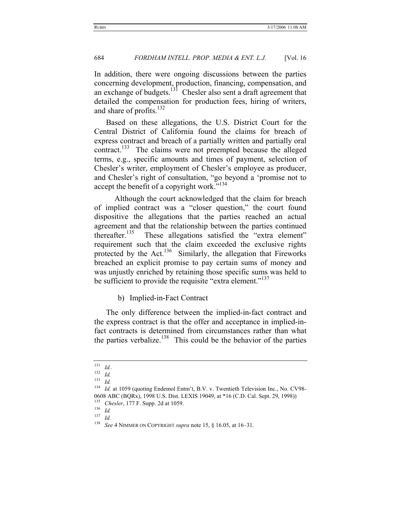In addition, there were ongoing discussions between the parties concerning development, production, financing, compensation, and an exchange of budgets.<sup>131</sup> Chesler also sent a draft agreement that detailed the compensation for production fees, hiring of writers, and share of profits. $132$ 

Based on these allegations, the U.S. District Court for the Central District of California found the claims for breach of express contract and breach of a partially written and partially oral contract. $133$  The claims were not preempted because the alleged terms, e.g., specific amounts and times of payment, selection of Chesler's writer, employment of Chesler's employee as producer, and Chesler's right of consultation, "go beyond a 'promise not to accept the benefit of a copyright work."<sup>134</sup>

 Although the court acknowledged that the claim for breach of implied contract was a "closer question," the court found dispositive the allegations that the parties reached an actual agreement and that the relationship between the parties continued thereafter.<sup>135</sup> These allegations satisfied the "extra element" requirement such that the claim exceeded the exclusive rights protected by the Act.<sup>136</sup> Similarly, the allegation that Fireworks breached an explicit promise to pay certain sums of money and was unjustly enriched by retaining those specific sums was held to be sufficient to provide the requisite "extra element."<sup>137</sup>

#### b) Implied-in-Fact Contract

The only difference between the implied-in-fact contract and the express contract is that the offer and acceptance in implied-infact contracts is determined from circumstances rather than what the parties verbalize.<sup>138</sup> This could be the behavior of the parties

 $\frac{131}{132}$  *Id.*.

 $\frac{132}{133}$  *Id.* 

<sup>133</sup> *Id.*

<sup>&</sup>lt;sup>134</sup> *Id.* at 1059 (quoting Endemol Entm't, B.V. v. Twentieth Television Inc., No. CV98-0608 ABC (BQRx), 1998 U.S. Dist. LEXIS 19049, at \*16 (C.D. Cal. Sept. 29, 1998)) 135 *Chesler*, 177 F. Supp. 2d at 1059. 136 *Id.*

<sup>137</sup> *Id.*

<sup>138</sup> *See* 4 NIMMER ON COPYRIGHT *supra* note 15, § 16.05, at 16–31.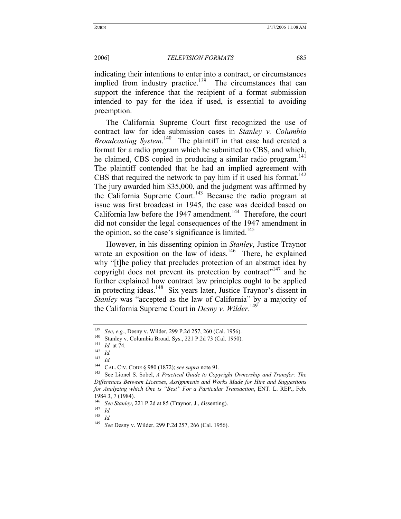indicating their intentions to enter into a contract, or circumstances implied from industry practice.<sup>139</sup> The circumstances that can support the inference that the recipient of a format submission intended to pay for the idea if used, is essential to avoiding preemption.

The California Supreme Court first recognized the use of contract law for idea submission cases in *Stanley v. Columbia Broadcasting System*. 140 The plaintiff in that case had created a format for a radio program which he submitted to CBS, and which, he claimed, CBS copied in producing a similar radio program.<sup>141</sup> The plaintiff contended that he had an implied agreement with CBS that required the network to pay him if it used his format.<sup>142</sup> The jury awarded him \$35,000, and the judgment was affirmed by the California Supreme Court.<sup>143</sup> Because the radio program at issue was first broadcast in 1945, the case was decided based on California law before the 1947 amendment.<sup>144</sup> Therefore, the court did not consider the legal consequences of the 1947 amendment in the opinion, so the case's significance is limited.<sup>145</sup>

However, in his dissenting opinion in *Stanley*, Justice Traynor wrote an exposition on the law of ideas.<sup>146</sup> There, he explained why "[t]he policy that precludes protection of an abstract idea by copyright does not prevent its protection by contract"<sup>147</sup> and he further explained how contract law principles ought to be applied in protecting ideas.<sup>148</sup> Six years later, Justice Traynor's dissent in *Stanley* was "accepted as the law of California" by a majority of the California Supreme Court in *Desny v. Wilder*. 149

<sup>&</sup>lt;sup>139</sup> *See*, *e.g.*, Desny v. Wilder, 299 P.2d 257, 260 (Cal. 1956).<br>
<sup>140</sup> Stanley v. Columbia Broad. Sys., 221 P.2d 73 (Cal. 1950).<br> *141 Id. 141*<br>
<sup>142</sup> *Id.* 

 $\frac{143}{144}$  *Id.* 

<sup>&</sup>lt;sup>144</sup> CAL. CIV. CODE § 980 (1872); *see supra* note 91.<br><sup>145</sup> See Lionel S. Sobel, *A Practical Guide to Copyright Ownership and Transfer: The Differences Between Licenses*, *Assignments and Works Made for Hire and Suggestions for Analyzing which One is "Best" For a Particular Transaction*, ENT. L. REP., Feb. 1984 3, 7 (1984).

<sup>146</sup> *See Stanley*, 221 P.2d at 85 (Traynor, J., dissenting). 147 *Id.*

 $\frac{148}{149}$  *Id.* 

<sup>149</sup> *See* Desny v. Wilder, 299 P.2d 257, 266 (Cal. 1956).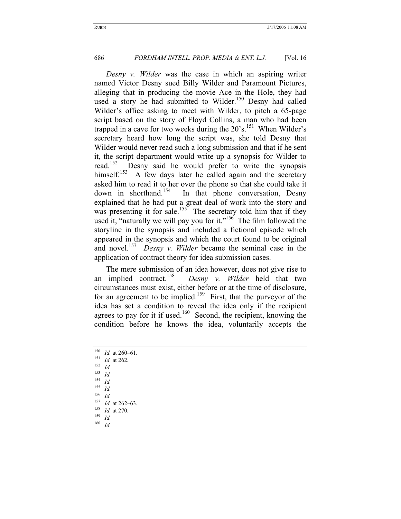*Desny v. Wilder* was the case in which an aspiring writer named Victor Desny sued Billy Wilder and Paramount Pictures, alleging that in producing the movie Ace in the Hole, they had used a story he had submitted to Wilder.<sup>150</sup> Desny had called Wilder's office asking to meet with Wilder, to pitch a 65-page script based on the story of Floyd Collins, a man who had been trapped in a cave for two weeks during the  $20^{\circ}$ s.<sup>151</sup> When Wilder's secretary heard how long the script was, she told Desny that Wilder would never read such a long submission and that if he sent it, the script department would write up a synopsis for Wilder to read.<sup>152</sup> Desny said he would prefer to write the synopsis himself.<sup>153</sup> A few days later he called again and the secretary asked him to read it to her over the phone so that she could take it down in shorthand.<sup>154</sup> In that phone conversation, Desny explained that he had put a great deal of work into the story and was presenting it for sale.<sup>155</sup> The secretary told him that if they used it, "naturally we will pay you for it."<sup>156</sup> The film followed the storyline in the synopsis and included a fictional episode which appeared in the synopsis and which the court found to be original and novel.157 *Desny v. Wilder* became the seminal case in the application of contract theory for idea submission cases.

The mere submission of an idea however, does not give rise to an implied contract.158 *Desny v. Wilder* held that two circumstances must exist, either before or at the time of disclosure, for an agreement to be implied.<sup>159</sup> First, that the purveyor of the idea has set a condition to reveal the idea only if the recipient agrees to pay for it if used.<sup>160</sup> Second, the recipient, knowing the condition before he knows the idea, voluntarily accepts the

<sup>150</sup> *Id.* at 260–61. 151 *Id.* at 262. 152 *Id.*  $\frac{153}{154}$  *Id.*  $\frac{154}{155}$  *Id.*  $\frac{155}{156}$  *Id.*  $\frac{156}{157}$  *Id.* <sup>157</sup> *Id.* at 262–63. 158 *Id.* at 270. 159 *Id.* <sup>160</sup> *Id.*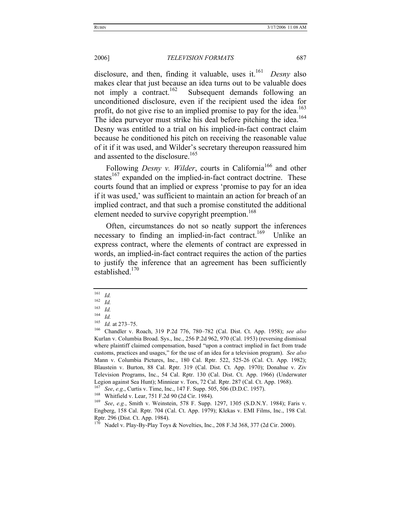disclosure, and then, finding it valuable, uses it.<sup>161</sup> *Desny* also makes clear that just because an idea turns out to be valuable does not imply a contract.<sup>162</sup> Subsequent demands following an unconditioned disclosure, even if the recipient used the idea for profit, do not give rise to an implied promise to pay for the idea.<sup>163</sup> The idea purveyor must strike his deal before pitching the idea.<sup>164</sup> Desny was entitled to a trial on his implied-in-fact contract claim because he conditioned his pitch on receiving the reasonable value of it if it was used, and Wilder's secretary thereupon reassured him and assented to the disclosure.<sup>165</sup>

Following *Desny v. Wilder*, courts in California<sup>166</sup> and other states $167$  expanded on the implied-in-fact contract doctrine. These courts found that an implied or express 'promise to pay for an idea if it was used,' was sufficient to maintain an action for breach of an implied contract, and that such a promise constituted the additional element needed to survive copyright preemption.<sup>168</sup>

Often, circumstances do not so neatly support the inferences necessary to finding an implied-in-fact contract.<sup>169</sup> Unlike an express contract, where the elements of contract are expressed in words, an implied-in-fact contract requires the action of the parties to justify the inference that an agreement has been sufficiently established.<sup>170</sup>

 $\frac{161}{162}$  *Id.* 

 $\frac{162}{163}$  *Id.* 

 $\frac{163}{164}$  *Id.* 

 $\frac{164}{165}$  *Id.* 

<sup>165</sup> *Id.* at 273–75. 166 Chandler v. Roach, 319 P.2d 776, 780–782 (Cal. Dist. Ct. App. 1958); *see also* Kurlan v. Columbia Broad. Sys., Inc., 256 P.2d 962, 970 (Cal. 1953) (reversing dismissal where plaintiff claimed compensation, based "upon a contract implied in fact from trade customs, practices and usages," for the use of an idea for a television program). *See also* Mann v. Columbia Pictures, Inc., 180 Cal. Rptr. 522, 525-26 (Cal. Ct. App. 1982); Blaustein v. Burton, 88 Cal. Rptr. 319 (Cal. Dist. Ct. App. 1970); Donahue v. Ziv Television Programs, Inc., 54 Cal. Rptr. 130 (Cal. Dist. Ct. App. 1966) (Underwater Legion against Sea Hunt); Minniear v. Tors, 72 Cal. Rptr. 287 (Cal. Ct. App. 1968).<br><sup>167</sup> See, e.g., Curtis v. Time, Inc., 147 F. Supp. 505, 506 (D.D.C. 1957).<br><sup>168</sup> Whitfield v. Lear, 751 F.2d 90 (2d Cir. 1984).<br><sup>169</sup> See

Engberg, 158 Cal. Rptr. 704 (Cal. Ct. App. 1979); Klekas v. EMI Films, Inc., 198 Cal. Rptr. 296 (Dist. Ct. App. 1984).

Nadel v. Play-By-Play Toys & Novelties, Inc., 208 F.3d 368, 377 (2d Cir. 2000).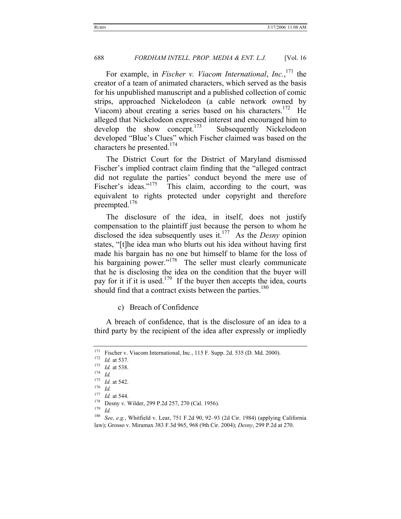For example, in *Fischer v. Viacom International*, *Inc.*, 171 the creator of a team of animated characters, which served as the basis for his unpublished manuscript and a published collection of comic strips, approached Nickelodeon (a cable network owned by Viacom) about creating a series based on his characters.<sup>172</sup> He alleged that Nickelodeon expressed interest and encouraged him to develop the show concept.<sup>173</sup> Subsequently Nickelodeon developed "Blue's Clues" which Fischer claimed was based on the characters he presented.<sup>174</sup>

The District Court for the District of Maryland dismissed Fischer's implied contract claim finding that the "alleged contract did not regulate the parties' conduct beyond the mere use of Fischer's ideas."<sup>175</sup> This claim, according to the court, was equivalent to rights protected under copyright and therefore preempted.<sup>176</sup>

The disclosure of the idea, in itself, does not justify compensation to the plaintiff just because the person to whom he disclosed the idea subsequently uses it.<sup>177</sup> As the *Desny* opinion states, "[t]he idea man who blurts out his idea without having first made his bargain has no one but himself to blame for the loss of his bargaining power."<sup>178</sup> The seller must clearly communicate that he is disclosing the idea on the condition that the buyer will pay for it if it is used.<sup>179</sup> If the buyer then accepts the idea, courts should find that a contract exists between the parties.<sup>180</sup>

c) Breach of Confidence

A breach of confidence, that is the disclosure of an idea to a third party by the recipient of the idea after expressly or impliedly

<sup>171</sup> Fischer v. Viacom International, Inc., 115 F. Supp. 2d. 535 (D. Md. 2000).<br>
172 *Id.* at 537.<br>
173 *Id.* at 538.<br>
174 *Id.*<br>
174 *Id.* 

<sup>175</sup> *Id.* at 542. 176 *Id.*

<sup>177</sup> *Id.* at 544.<br><sup>178</sup> Desny v. Wilder, 299 P.2d 257, 270 (Cal. 1956).<br><sup>179</sup> Id.

<sup>180</sup> *See*, *e.g.*, Whitfield v. Lear, 751 F.2d 90, 92–93 (2d Cir. 1984) (applying California law); Grosso v. Miramax 383 F.3d 965, 968 (9th Cir. 2004); *Desny*, 299 P.2d at 270.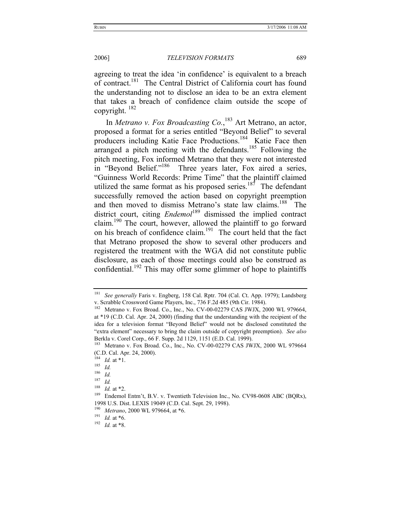agreeing to treat the idea 'in confidence' is equivalent to a breach of contract.<sup>181</sup> The Central District of California court has found the understanding not to disclose an idea to be an extra element that takes a breach of confidence claim outside the scope of copyright.  $182$ 

In *Metrano v. Fox Broadcasting Co.*, 183 Art Metrano, an actor, proposed a format for a series entitled "Beyond Belief" to several producers including Katie Face Productions.<sup>184</sup> Katie Face then arranged a pitch meeting with the defendants.<sup>185</sup> Following the pitch meeting, Fox informed Metrano that they were not interested in "Beyond Belief."<sup>186</sup> Three years later, Fox aired a series, "Guinness World Records: Prime Time" that the plaintiff claimed utilized the same format as his proposed series.<sup>187</sup> The defendant successfully removed the action based on copyright preemption and then moved to dismiss Metrano's state law claims.<sup>188</sup> The district court, citing *Endemol*<sup>189</sup> dismissed the implied contract claim.190 The court, however, allowed the plaintiff to go forward on his breach of confidence claim.<sup>191</sup> The court held that the fact that Metrano proposed the show to several other producers and registered the treatment with the WGA did not constitute public disclosure, as each of those meetings could also be construed as confidential.<sup>192</sup> This may offer some glimmer of hope to plaintiffs

<sup>181</sup> *See generally* Faris v. Engberg, 158 Cal. Rptr. 704 (Cal. Ct. App. 1979); Landsberg v. Scrabble Crossword Game Players, Inc., 736 F.2d 485 (9th Cir. 1984).

<sup>&</sup>lt;sup>182</sup> Metrano v. Fox Broad. Co., Inc., No. CV-00-02279 CAS JWJX, 2000 WL 979664, at \*19 (C.D. Cal. Apr. 24, 2000) (finding that the understanding with the recipient of the idea for a television format "Beyond Belief" would not be disclosed constituted the "extra element" necessary to bring the claim outside of copyright preemption). *See also*

Berkla v. Corel Corp., 66 F. Supp. 2d 1129, 1151 (E.D. Cal. 1999).<br><sup>183</sup> Metrano v. Fox Broad. Co., Inc., No. CV-00-02279 CAS JWJX, 2000 WL 979664 (C.D. Cal. Apr. 24, 2000).

 $\frac{184}{185}$  *Id.* at \*1.<br> $\frac{185}{186}$  *Id.* 

 $\frac{186}{187}$  *Id.* 

 $\frac{187}{188}$  *Id.* 

<sup>&</sup>lt;sup>188</sup> *Id.* at \*2.<br><sup>189</sup> Endemol Entm't, B.V. v. Twentieth Television Inc., No. CV98-0608 ABC (BQRx), 1998 U.S. Dist. LEXIS 19049 (C.D. Cal. Sept. 29, 1998).<br><sup>190</sup> *Metrano*, 2000 WL 979664, at \*6.<br><sup>191</sup> *Id.* at \*6.<br><sup>192</sup> *Id.* at \*8.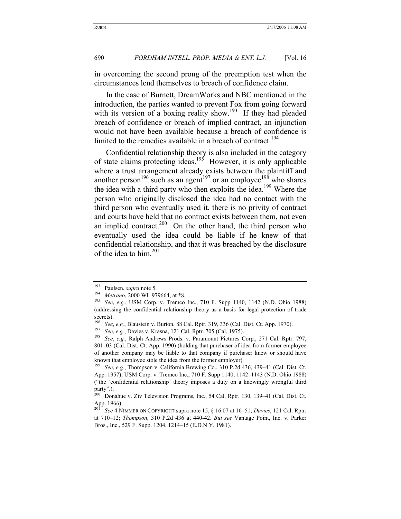in overcoming the second prong of the preemption test when the circumstances lend themselves to breach of confidence claim.

In the case of Burnett, DreamWorks and NBC mentioned in the introduction, the parties wanted to prevent Fox from going forward with its version of a boxing reality show.<sup>193</sup> If they had pleaded breach of confidence or breach of implied contract, an injunction would not have been available because a breach of confidence is limited to the remedies available in a breach of contract.<sup>194</sup>

Confidential relationship theory is also included in the category of state claims protecting ideas.<sup>195</sup> However, it is only applicable where a trust arrangement already exists between the plaintiff and another person<sup>196</sup> such as an agent<sup>197</sup> or an employee<sup>198</sup> who shares the idea with a third party who then exploits the idea.199 Where the person who originally disclosed the idea had no contact with the third person who eventually used it, there is no privity of contract and courts have held that no contract exists between them, not even an implied contract.<sup>200</sup> On the other hand, the third person who eventually used the idea could be liable if he knew of that confidential relationship, and that it was breached by the disclosure of the idea to him.<sup>201</sup>

<sup>193</sup> Paulsen, *supra* note 5*.*

<sup>194</sup> *Metrano*, 2000 WL 979664, at \*8. 195 *See*, *e.g.*, USM Corp. v. Tremco Inc., 710 F. Supp 1140, 1142 (N.D. Ohio 1988) (addressing the confidential relationship theory as a basis for legal protection of trade secrets).<br> $\frac{196}{S_{0.2}}$ 

<sup>&</sup>lt;sup>196</sup> See, e.g., Blaustein v. Burton, 88 Cal. Rptr. 319, 336 (Cal. Dist. Ct. App. 1970).<br><sup>197</sup> See, e.g., Davies v. Krasna, 121 Cal. Rptr. 705 (Cal. 1975).<br><sup>198</sup> See, e.g., Ralph Andrews Prods. v. Paramount Pictures Corp.

<sup>801–03 (</sup>Cal. Dist. Ct. App. 1990) (holding that purchaser of idea from former employee of another company may be liable to that company if purchaser knew or should have known that employee stole the idea from the former employer). 199 *See*, *e.g.*, Thompson v. California Brewing Co., 310 P.2d 436, 439–41 (Cal. Dist. Ct.

App. 1957); USM Corp. v. Tremco Inc., 710 F. Supp 1140, 1142–1143 (N.D. Ohio 1988) ("the 'confidential relationship' theory imposes a duty on a knowingly wrongful third party".).

 $200$  Donahue v. Ziv Television Programs, Inc., 54 Cal. Rptr. 130, 139–41 (Cal. Dist. Ct. App. 1966).

<sup>201</sup> *See* 4 NIMMER ON COPYRIGHT supra note 15, § 16.07 at 16–51; *Davies*, 121 Cal. Rptr. at 710–12; *Thompson*, 310 P.2d 436 at 440-42. *But see* Vantage Point, Inc. v. Parker Bros., Inc., 529 F. Supp. 1204, 1214–15 (E.D.N.Y. 1981).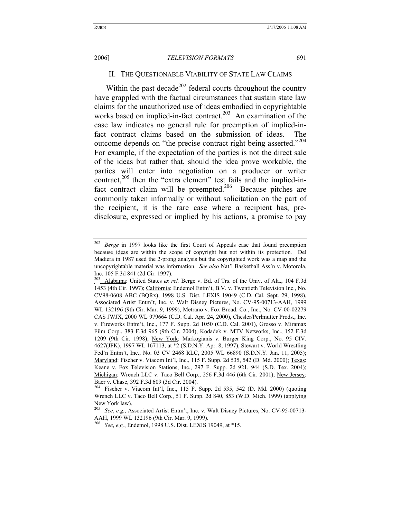#### II. THE QUESTIONABLE VIABILITY OF STATE LAW CLAIMS

Within the past decade<sup>202</sup> federal courts throughout the country have grappled with the factual circumstances that sustain state law claims for the unauthorized use of ideas embodied in copyrightable works based on implied-in-fact contract.<sup>203</sup> An examination of the case law indicates no general rule for preemption of implied-infact contract claims based on the submission of ideas. The outcome depends on "the precise contract right being asserted."<sup>204</sup> For example, if the expectation of the parties is not the direct sale of the ideas but rather that, should the idea prove workable, the parties will enter into negotiation on a producer or writer contract, $205$  then the "extra element" test fails and the implied-infact contract claim will be preempted.<sup>206</sup> Because pitches are commonly taken informally or without solicitation on the part of the recipient, it is the rare case where a recipient has, predisclosure, expressed or implied by his actions, a promise to pay

<sup>202</sup> *Berge* in 1997 looks like the first Court of Appeals case that found preemption because ideas are within the scope of copyright but not within its protection. Del Madiera in 1987 used the 2-prong analysis but the copyrighted work was a map and the uncopyrightable material was information. *See also* Nat'l Basketball Ass'n v. Motorola, Inc. 105 F.3d 841 (2d Cir. 1997).

<sup>&</sup>lt;sup>203</sup> Alabama: United States *ex rel.* Berge v. Bd. of Trs. of the Univ. of Ala., 104 F.3d 1453 (4th Cir. 1997); California: Endemol Entm't, B.V. v. Twentieth Television Inc., No. CV98-0608 ABC (BQRx), 1998 U.S. Dist. LEXIS 19049 (C.D. Cal. Sept. 29, 1998), Associated Artist Entm't, Inc. v. Walt Disney Pictures, No. CV-95-00713-AAH, 1999 WL 132196 (9th Cir. Mar. 9, 1999), Metrano v. Fox Broad. Co., Inc., No. CV-00-02279 CAS JWJX, 2000 WL 979664 (C.D. Cal. Apr. 24, 2000), Chesler/Perlmutter Prods., Inc. v. Fireworks Entm't, Inc., 177 F. Supp. 2d 1050 (C.D. Cal. 2001), Grosso v. Miramax Film Corp., 383 F.3d 965 (9th Cir. 2004), Kodadek v. MTV Networks, Inc., 152 F.3d 1209 (9th Cir. 1998); New York: Markogianis v. Burger King Corp., No. 95 CIV. 4627(JFK), 1997 WL 167113, at \*2 (S.D.N.Y. Apr. 8, 1997), Stewart v. World Wrestling Fed'n Entm't, Inc., No. 03 CV 2468 RLC, 2005 WL 66890 (S.D.N.Y. Jan. 11, 2005); Maryland: Fischer v. Viacom Int'l, Inc., 115 F. Supp. 2d 535, 542 (D. Md. 2000); Texas: Keane v. Fox Television Stations, Inc., 297 F. Supp. 2d 921, 944 (S.D. Tex. 2004); Michigan: Wrench LLC v. Taco Bell Corp., 256 F.3d 446 (6th Cir. 2001); New Jersey: Baer v. Chase, 392 F.3d 609 (3d Cir. 2004).

<sup>204</sup> Fischer v. Viacom Int'l, Inc., 115 F. Supp. 2d 535, 542 (D. Md. 2000) (quoting Wrench LLC v. Taco Bell Corp., 51 F. Supp. 2d 840, 853 (W.D. Mich. 1999) (applying New York law).

<sup>205</sup> *See*, *e.g.*, Associated Artist Entm't, Inc. v. Walt Disney Pictures, No. CV-95-00713- AAH, 1999 WL 132196 (9th Cir. Mar. 9, 1999).

<sup>206</sup> *See*, *e.g.*, Endemol, 1998 U.S. Dist. LEXIS 19049, at \*15.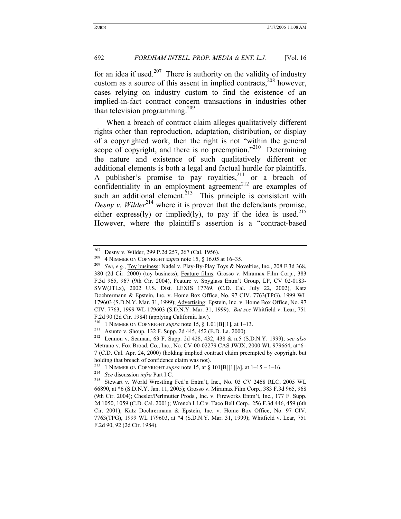for an idea if used.<sup>207</sup> There is authority on the validity of industry custom as a source of this assent in implied contracts, $^{208}$  however, cases relying on industry custom to find the existence of an implied-in-fact contract concern transactions in industries other than television programming.<sup>209</sup>

When a breach of contract claim alleges qualitatively different rights other than reproduction, adaptation, distribution, or display of a copyrighted work, then the right is not "within the general scope of copyright, and there is no preemption. $12^{10}$  Determining the nature and existence of such qualitatively different or additional elements is both a legal and factual hurdle for plaintiffs. A publisher's promise to pay royalties, $2^{11}$  or a breach of confidentiality in an employment agreement<sup>212</sup> are examples of such an additional element.<sup> $213$ </sup> This principle is consistent with *Desny v. Wilder*<sup>214</sup> where it is proven that the defendants promise, either express(ly) or implied(ly), to pay if the idea is used.<sup>215</sup> However, where the plaintiff's assertion is a "contract-based

<sup>207</sup> Desny v. Wilder, 299 P.2d 257, 267 (Cal. 1956).<br><sup>208</sup> 4 NIMMER ON COPYRIGHT *supra* note 15, § 16.05 at 16–35.<br><sup>209</sup> *See*, *e.g.*, <u>Toy business</u>: Nadel v. Play-By-Play Toys & Novelties, Inc., 208 F.3d 368, 380 (2d Cir. 2000) (toy business); Feature films: Grosso v. Miramax Film Corp., 383 F.3d 965, 967 (9th Cir. 2004), Feature v. Spyglass Entm't Group, LP, CV 02-0183- SVW(JTLx), 2002 U.S. Dist. LEXIS 17769, (C.D. Cal. July 22, 2002), Katz Dochrermann & Epstein, Inc. v. Home Box Office, No. 97 CIV. 7763(TPG), 1999 WL 179603 (S.D.N.Y. Mar. 31, 1999); Advertising: Epstein, Inc. v. Home Box Office, No. 97 CIV. 7763, 1999 WL 179603 (S.D.N.Y. Mar. 31, 1999). *But see* Whitfield v. Lear, 751 F.2d 90 (2d Cir. 1984) (applying California law).<br> $^{210}$  1 Nm 0.00 CONVICUT, summa pata 15, 8.1

<sup>210 1</sup> NIMMER ON COPYRIGHT *supra* note 15, § 1.01[B][1], at 1–13. 211 Asunto v. Shoup, 132 F. Supp. 2d 445, 452 (E.D. La. 2000). 212 Lennon v. Seaman, 63 F. Supp. 2d 428, 432, 438 & n.5 (S.D.N.Y. 1999); *see also* Metrano v. Fox Broad. Co., Inc., No. CV-00-02279 CAS JWJX, 2000 WL 979664, at\*6– 7 (C.D. Cal. Apr. 24, 2000) (holding implied contract claim preempted by copyright but holding that breach of confidence claim was not).

<sup>213 1</sup> NIMMER ON COPYRIGHT *supra* note 15, at § 101[B][1][a], at 1–15 – 1–16. 214 *See* discussion *infra* Part I.C. 215 Stewart v. World Wrestling Fed'n Entm't, Inc., No. 03 CV 2468 RLC, 2005 WL 66890, at \*6 (S.D.N.Y. Jan. 11, 2005); Grosso v. Miramax Film Corp., 383 F.3d 965, 968 (9th Cir. 2004); Chesler/Perlmutter Prods., Inc. v. Fireworks Entm't, Inc., 177 F. Supp. 2d 1050, 1059 (C.D. Cal. 2001); Wrench LLC v. Taco Bell Corp., 256 F.3d 446, 459 (6th Cir. 2001); Katz Dochrermann & Epstein, Inc. v. Home Box Office, No. 97 CIV. 7763(TPG), 1999 WL 179603, at \*4 (S.D.N.Y. Mar. 31, 1999); Whitfield v. Lear, 751 F.2d 90, 92 (2d Cir. 1984).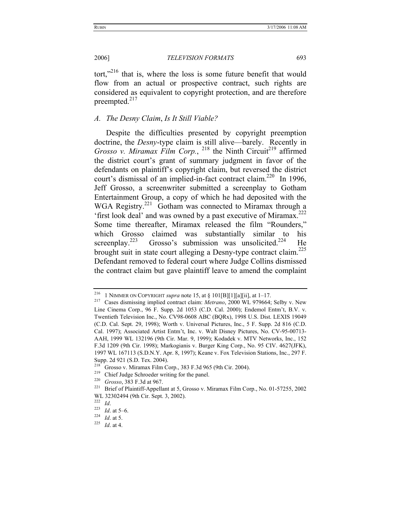tort,"<sup>216</sup> that is, where the loss is some future benefit that would flow from an actual or prospective contract, such rights are considered as equivalent to copyright protection, and are therefore preempted.<sup>217</sup>

### *A. The Desny Claim*, *Is It Still Viable?*

Despite the difficulties presented by copyright preemption doctrine, the *Desny*-type claim is still alive—barely. Recently in *Grosso v. Miramax Film Corp.*, <sup>218</sup> the Ninth Circuit<sup>219</sup> affirmed the district court's grant of summary judgment in favor of the defendants on plaintiff's copyright claim, but reversed the district court's dismissal of an implied-in-fact contract claim.<sup>220</sup> In 1996, Jeff Grosso, a screenwriter submitted a screenplay to Gotham Entertainment Group, a copy of which he had deposited with the WGA Registry.<sup>221</sup> Gotham was connected to Miramax through a 'first look deal' and was owned by a past executive of Miramax.222 Some time thereafter, Miramax released the film "Rounders," which Grosso claimed was substantially similar to his screenplay.<sup>223</sup> Grosso's submission was unsolicited.<sup>224</sup> He Grosso's submission was unsolicited.<sup>224</sup> He brought suit in state court alleging a Desny-type contract claim.<sup>225</sup> Defendant removed to federal court where Judge Collins dismissed the contract claim but gave plaintiff leave to amend the complaint

<sup>216 1</sup> NIMMER ON COPYRIGHT *supra* note 15, at § 101[B][1][a][ii], at 1–17. 217 Cases dismissing implied contract claim: *Metrano*, 2000 WL 979664; Selby v. New Line Cinema Corp., 96 F. Supp. 2d 1053 (C.D. Cal. 2000); Endemol Entm't, B.V. v. Twentieth Television Inc., No. CV98-0608 ABC (BQRx), 1998 U.S. Dist. LEXIS 19049 (C.D. Cal. Sept. 29, 1998); Worth v. Universal Pictures, Inc., 5 F. Supp. 2d 816 (C.D. Cal. 1997); Associated Artist Entm't, Inc. v. Walt Disney Pictures, No. CV-95-00713- AAH, 1999 WL 132196 (9th Cir. Mar. 9, 1999); Kodadek v. MTV Networks, Inc., 152 F.3d 1209 (9th Cir. 1998); Markogianis v. Burger King Corp., No. 95 CIV. 4627(JFK), 1997 WL 167113 (S.D.N.Y. Apr. 8, 1997); Keane v. Fox Television Stations, Inc., 297 F. Supp. 2d 921 (S.D. Tex. 2004).

<sup>&</sup>lt;sup>218</sup> Grosso v. Miramax Film Corp., 383 F.3d 965 (9th Cir. 2004).<br><sup>219</sup> Chief Judge Schroeder writing for the panel.<br><sup>220</sup> Grosso, 383 F.3d at 967.<br><sup>221</sup> Brief of Plaintiff-Appellant at 5, Grosso v. Miramax Film Corp., No WL 32302494 (9th Cir. Sept. 3, 2002).<br><sup>222</sup> Id

<sup>222</sup> *Id*. 223 *Id*. at 5–6. 224 *Id*. at 5. 225 *Id*. at 4.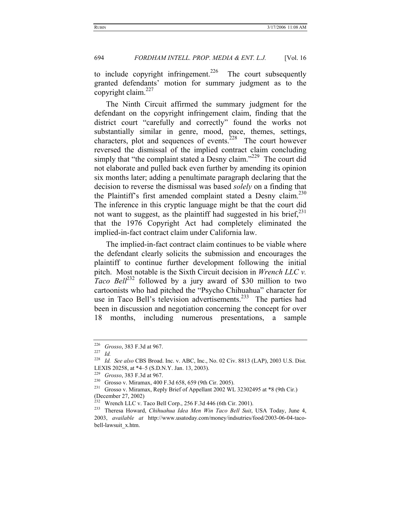to include copyright infringement.<sup>226</sup> The court subsequently granted defendants' motion for summary judgment as to the copyright claim. $^{227}$ 

The Ninth Circuit affirmed the summary judgment for the defendant on the copyright infringement claim, finding that the district court "carefully and correctly" found the works not substantially similar in genre, mood, pace, themes, settings, characters, plot and sequences of events.<sup>228</sup> The court however reversed the dismissal of the implied contract claim concluding simply that "the complaint stated a Desny claim."<sup>229</sup> The court did not elaborate and pulled back even further by amending its opinion six months later; adding a penultimate paragraph declaring that the decision to reverse the dismissal was based *solely* on a finding that the Plaintiff's first amended complaint stated a Desny claim.<sup>230</sup> The inference in this cryptic language might be that the court did not want to suggest, as the plaintiff had suggested in his brief, $^{231}$ that the 1976 Copyright Act had completely eliminated the implied-in-fact contract claim under California law.

The implied-in-fact contract claim continues to be viable where the defendant clearly solicits the submission and encourages the plaintiff to continue further development following the initial pitch. Most notable is the Sixth Circuit decision in *Wrench LLC v. Taco Bell*<sup>232</sup> followed by a jury award of \$30 million to two cartoonists who had pitched the "Psycho Chihuahua" character for use in Taco Bell's television advertisements.<sup>233</sup> The parties had been in discussion and negotiation concerning the concept for over 18 months, including numerous presentations, a sample

<sup>226</sup> *Grosso*, 383 F.3d at 967. 227 *Id.*

<sup>228</sup> *Id. See also* CBS Broad. Inc. v. ABC, Inc., No. 02 Civ. 8813 (LAP), 2003 U.S. Dist.

LEXIS 20258, at \*4–5 (S.D.N.Y. Jan. 13, 2003). 229 *Grosso*, 383 F.3d at 967. 230 Grosso v. Miramax, 400 F.3d 658, 659 (9th Cir. 2005). 231 Grosso v. Miramax, Reply Brief of Appellant 2002 WL 32302495 at \*8 (9th Cir.) (December 27, 2002)

<sup>232</sup> Wrench LLC v. Taco Bell Corp., 256 F.3d 446 (6th Cir. 2001). 233 Theresa Howard, *Chihuahua Idea Men Win Taco Bell Suit*, USA Today, June 4, 2003, *available at* http://www.usatoday.com/money/indsutries/food/2003-06-04-tacobell-lawsuit\_x.htm.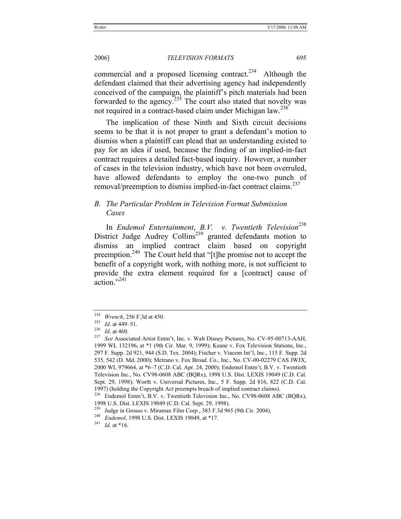commercial and a proposed licensing contract.<sup>234</sup> Although the defendant claimed that their advertising agency had independently conceived of the campaign, the plaintiff's pitch materials had been forwarded to the agency. $235$  The court also stated that novelty was not required in a contract-based claim under Michigan law.236

The implication of these Ninth and Sixth circuit decisions seems to be that it is not proper to grant a defendant's motion to dismiss when a plaintiff can plead that an understanding existed to pay for an idea if used, because the finding of an implied-in-fact contract requires a detailed fact-based inquiry. However, a number of cases in the television industry, which have not been overruled, have allowed defendants to employ the one-two punch of removal/preemption to dismiss implied-in-fact contract claims.<sup>237</sup>

# *B. The Particular Problem in Television Format Submission Cases*

In *Endemol Entertainment*, *B.V. v. Twentieth Television*238 District Judge Audrey Collins<sup>239</sup> granted defendants motion to dismiss an implied contract claim based on copyright preemption.240 The Court held that "[t]he promise not to accept the benefit of a copyright work, with nothing more, is not sufficient to provide the extra element required for a [contract] cause of action."241

<sup>234</sup> *Wrench*, 256 F.3d at 450. 235 *Id*. at 449–51. 236 *Id*. at 460. 237 *See* Associated Artist Entm't, Inc. v. Walt Disney Pictures, No. CV-95-00713-AAH, 1999 WL 132196, at \*1 (9th Cir. Mar. 9, 1999); Keane v. Fox Television Stations, Inc., 297 F. Supp. 2d 921, 944 (S.D. Tex. 2004); Fischer v. Viacom Int'l, Inc., 115 F. Supp. 2d 535, 542 (D. Md. 2000); Metrano v. Fox Broad. Co., Inc., No. CV-00-02279 CAS JWJX, 2000 WL 979664, at \*6–7 (C.D. Cal. Apr. 24, 2000); Endemol Entm't, B.V. v. Twentieth Television Inc., No. CV98-0608 ABC (BQRx), 1998 U.S. Dist. LEXIS 19049 (C.D. Cal. Sept. 29, 1998); Worth v. Universal Pictures, Inc., 5 F. Supp. 2d 816, 822 (C.D. Cal. 1997) (holding the Copyright Act preempts breach of implied contract claims). 238 Endemol Entm't, B.V. v. Twentieth Television Inc., No. CV98-0608 ABC (BQRx),

<sup>1998</sup> U.S. Dist. LEXIS 19049 (C.D. Cal. Sept. 29, 1998). 239 Judge in Grosso v. Miramax Film Corp., 383 F.3d 965 (9th Cir. 2004). 240 *Endemol*, 1998 U.S. Dist. LEXIS 19049, at \*17. 241 *Id.* at \*16.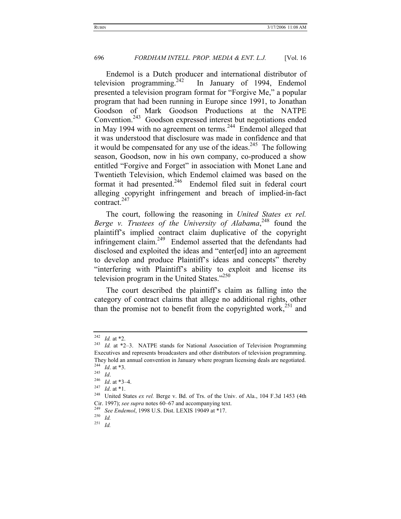Endemol is a Dutch producer and international distributor of television programming.<sup>242</sup> In January of 1994, Endemol presented a television program format for "Forgive Me," a popular program that had been running in Europe since 1991, to Jonathan Goodson of Mark Goodson Productions at the NATPE Convention.<sup>243</sup> Goodson expressed interest but negotiations ended in May 1994 with no agreement on terms.<sup>244</sup> Endemol alleged that it was understood that disclosure was made in confidence and that it would be compensated for any use of the ideas.<sup>245</sup> The following season, Goodson, now in his own company, co-produced a show entitled "Forgive and Forget" in association with Monet Lane and Twentieth Television, which Endemol claimed was based on the format it had presented.<sup>246</sup> Endemol filed suit in federal court alleging copyright infringement and breach of implied-in-fact contract. $247$ 

The court, following the reasoning in *United States ex rel.*  Berge v. Trustees of the University of Alabama,<sup>248</sup> found the plaintiff's implied contract claim duplicative of the copyright infringement claim. $249$  Endemol asserted that the defendants had disclosed and exploited the ideas and "enter[ed] into an agreement to develop and produce Plaintiff's ideas and concepts" thereby "interfering with Plaintiff's ability to exploit and license its television program in the United States."<sup>250</sup>

The court described the plaintiff's claim as falling into the category of contract claims that allege no additional rights, other than the promise not to benefit from the copyrighted work,<sup>251</sup> and

<sup>242</sup> *Id.* at \*2. 243 *Id.* at \*2–3. NATPE stands for National Association of Television Programming Executives and represents broadcasters and other distributors of television programming. They hold an annual convention in January where program licensing deals are negotiated.<br>
<sup>244</sup> *Id.* at \*3.<br>
<sup>245</sup> *Id. Id.* at \*3–4.<br>
<sup>247</sup> *Id.* at \*1.<br>
<sup>247</sup> *Id.* at \*1.<br>
<sup>247</sup> *Id.* at \*1.<br>
<sup>248</sup> United States *ex* 

Cir. 1997); *see supra* notes 60–67 and accompanying text. 249 *See Endemol*, 1998 U.S. Dist. LEXIS 19049 at \*17. 250 *Id.*

<sup>251</sup> *Id.*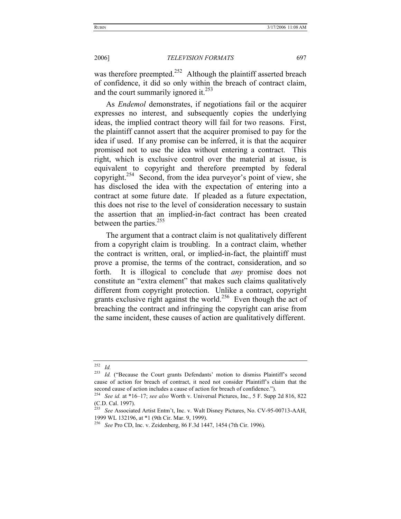was therefore preempted.<sup>252</sup> Although the plaintiff asserted breach of confidence, it did so only within the breach of contract claim, and the court summarily ignored it. $^{253}$ 

As *Endemol* demonstrates, if negotiations fail or the acquirer expresses no interest, and subsequently copies the underlying ideas, the implied contract theory will fail for two reasons. First, the plaintiff cannot assert that the acquirer promised to pay for the idea if used. If any promise can be inferred, it is that the acquirer promised not to use the idea without entering a contract. This right, which is exclusive control over the material at issue, is equivalent to copyright and therefore preempted by federal copyright.<sup>254</sup> Second, from the idea purveyor's point of view, she has disclosed the idea with the expectation of entering into a contract at some future date. If pleaded as a future expectation, this does not rise to the level of consideration necessary to sustain the assertion that an implied-in-fact contract has been created between the parties.<sup>255</sup>

The argument that a contract claim is not qualitatively different from a copyright claim is troubling. In a contract claim, whether the contract is written, oral, or implied-in-fact, the plaintiff must prove a promise, the terms of the contract, consideration, and so forth. It is illogical to conclude that *any* promise does not constitute an "extra element" that makes such claims qualitatively different from copyright protection. Unlike a contract, copyright grants exclusive right against the world.<sup>256</sup> Even though the act of breaching the contract and infringing the copyright can arise from the same incident, these causes of action are qualitatively different.

<sup>252</sup> *Id.*

<sup>&</sup>lt;sup>253</sup> Id. ("Because the Court grants Defendants' motion to dismiss Plaintiff's second cause of action for breach of contract, it need not consider Plaintiff's claim that the second cause of action includes a cause of action for breach of confidence."). 254 *See id.* at \*16–17; *see also* Worth v. Universal Pictures, Inc., 5 F. Supp 2d 816, 822

<sup>(</sup>C.D. Cal. 1997).

<sup>255</sup> *See* Associated Artist Entm't, Inc. v. Walt Disney Pictures, No. CV-95-00713-AAH, 1999 WL 132196, at \*1 (9th Cir. Mar. 9, 1999).

<sup>256</sup> *See* Pro CD, Inc. v. Zeidenberg, 86 F.3d 1447, 1454 (7th Cir. 1996).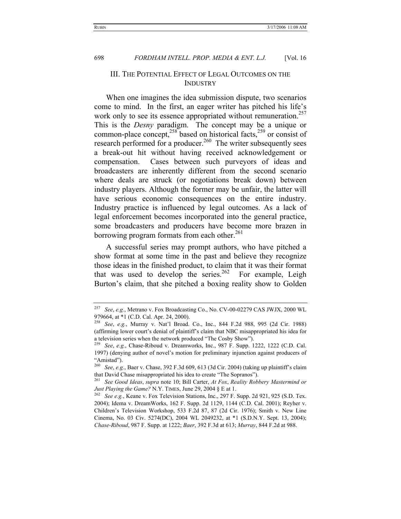# III. THE POTENTIAL EFFECT OF LEGAL OUTCOMES ON THE INDUSTRY

When one imagines the idea submission dispute, two scenarios come to mind. In the first, an eager writer has pitched his life's work only to see its essence appropriated without remuneration.<sup>257</sup> This is the *Desny* paradigm. The concept may be a unique or common-place concept,<sup>258</sup> based on historical facts,<sup>259</sup> or consist of research performed for a producer.<sup>260</sup> The writer subsequently sees a break-out hit without having received acknowledgement or compensation. Cases between such purveyors of ideas and broadcasters are inherently different from the second scenario where deals are struck (or negotiations break down) between industry players. Although the former may be unfair, the latter will have serious economic consequences on the entire industry. Industry practice is influenced by legal outcomes. As a lack of legal enforcement becomes incorporated into the general practice, some broadcasters and producers have become more brazen in borrowing program formats from each other.<sup>261</sup>

A successful series may prompt authors, who have pitched a show format at some time in the past and believe they recognize those ideas in the finished product, to claim that it was their format that was used to develop the series. $262$  For example, Leigh Burton's claim, that she pitched a boxing reality show to Golden

<sup>257</sup> *See*, *e.g.*, Metrano v. Fox Broadcasting Co., No. CV-00-02279 CAS JWJX, 2000 WL 979664, at \*1 (C.D. Cal. Apr. 24, 2000).

<sup>258</sup> *See*, *e.g.*, Murray v. Nat'l Broad. Co., Inc., 844 F.2d 988, 995 (2d Cir. 1988) (affirming lower court's denial of plaintiff's claim that NBC misappropriated his idea for a television series when the network produced "The Cosby Show").

<sup>259</sup> *See*, *e.g.*, Chase-Riboud v. Dreamworks, Inc., 987 F. Supp. 1222, 1222 (C.D. Cal. 1997) (denying author of novel's motion for preliminary injunction against producers of "Amistad").

<sup>260</sup> *See*, *e.g.*, Baer v. Chase, 392 F.3d 609, 613 (3d Cir. 2004) (taking up plaintiff's claim that David Chase misappropriated his idea to create "The Sopranos"). 261 *See Good Ideas*, *supra* note 10; Bill Carter, *At Fox*, *Reality Robbery Mastermind or* 

*Just Playing the Game?* N.Y. TIMES, June 29, 2004 § E at 1.<br><sup>262</sup> See *e.g.*, Keane v. Fox Television Stations, Inc., 297 F. Supp. 2d 921, 925 (S.D. Tex. 2004); Idema v. DreamWorks, 162 F. Supp. 2d 1129, 1144 (C.D. Cal. 2001); Reyher v. Children's Television Workshop, 533 F.2d 87, 87 (2d Cir. 1976); Smith v. New Line Cinema, No. 03 Civ. 5274(DC), 2004 WL 2049232, at \*1 (S.D.N.Y. Sept. 13, 2004); *Chase-Riboud*, 987 F. Supp. at 1222; *Baer*, 392 F.3d at 613; *Murray*, 844 F.2d at 988.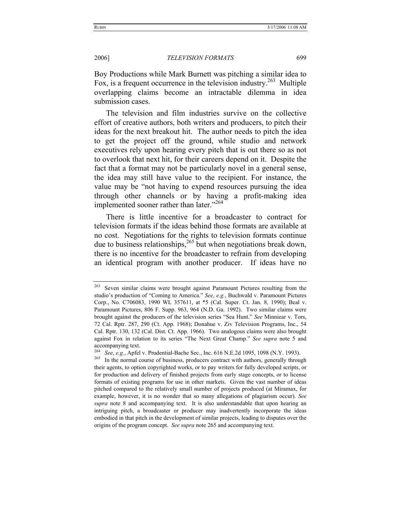Boy Productions while Mark Burnett was pitching a similar idea to Fox, is a frequent occurrence in the television industry.<sup>263</sup> Multiple overlapping claims become an intractable dilemma in idea submission cases.

The television and film industries survive on the collective effort of creative authors, both writers and producers, to pitch their ideas for the next breakout hit. The author needs to pitch the idea to get the project off the ground, while studio and network executives rely upon hearing every pitch that is out there so as not to overlook that next hit, for their careers depend on it. Despite the fact that a format may not be particularly novel in a general sense, the idea may still have value to the recipient. For instance, the value may be "not having to expend resources pursuing the idea through other channels or by having a profit-making idea implemented sooner rather than later."<sup>264</sup>

There is little incentive for a broadcaster to contract for television formats if the ideas behind those formats are available at no cost. Negotiations for the rights to television formats continue due to business relationships,  $^{265}$  but when negotiations break down, there is no incentive for the broadcaster to refrain from developing an identical program with another producer. If ideas have no

<sup>&</sup>lt;sup>263</sup> Seven similar claims were brought against Paramount Pictures resulting from the studio's production of "Coming to America." *See*, *e.g.*, Buchwald v. Paramount Pictures Corp., No. C706083, 1990 WL 357611, at \*5 (Cal. Super. Ct. Jan. 8, 1990); Beal v. Paramount Pictures, 806 F. Supp. 963, 964 (N.D. Ga. 1992). Two similar claims were brought against the producers of the television series "Sea Hunt." *See* Minniear v. Tors, 72 Cal. Rptr. 287, 290 (Ct. App. 1968); Donahue v. Ziv Television Programs, Inc., 54 Cal. Rptr. 130, 132 (Cal. Dist. Ct. App. 1966). Two analogous claims were also brought against Fox in relation to its series "The Next Great Champ." *See supra* note 5 and

accompanying text.<br><sup>264</sup> See, e.g., Apfel v. Prudential-Bache Sec., Inc. 616 N.E.2d 1095, 1098 (N.Y. 1993).

<sup>&</sup>lt;sup>265</sup> In the normal course of business, producers contract with authors, generally through their agents, to option copyrighted works, or to pay writers for fully developed scripts, or for production and delivery of finished projects from early stage concepts, or to license formats of existing programs for use in other markets. Given the vast number of ideas pitched compared to the relatively small number of projects produced (at Miramax, for example, however, it is no wonder that so many allegations of plagiarism occur). *See supra* note 8 and accompanying text. It is also understandable that upon hearing an intriguing pitch, a broadcaster or producer may inadvertently incorporate the ideas embodied in that pitch in the development of similar projects, leading to disputes over the origins of the program concept. *See supra* note 265 and accompanying text.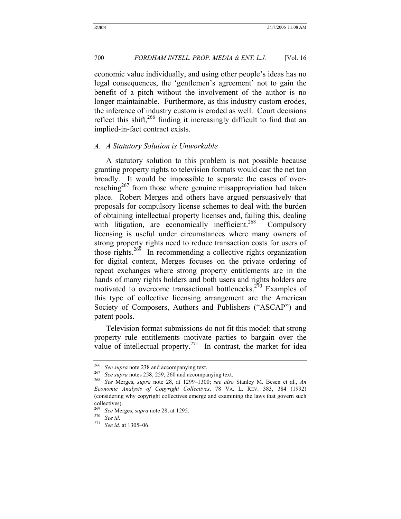economic value individually, and using other people's ideas has no legal consequences, the 'gentlemen's agreement' not to gain the benefit of a pitch without the involvement of the author is no longer maintainable. Furthermore, as this industry custom erodes, the inference of industry custom is eroded as well. Court decisions reflect this shift, $266$  finding it increasingly difficult to find that an implied-in-fact contract exists.

#### *A. A Statutory Solution is Unworkable*

A statutory solution to this problem is not possible because granting property rights to television formats would cast the net too broadly. It would be impossible to separate the cases of overreaching<sup>267</sup> from those where genuine misappropriation had taken place. Robert Merges and others have argued persuasively that proposals for compulsory license schemes to deal with the burden of obtaining intellectual property licenses and, failing this, dealing with litigation, are economically inefficient.<sup>268</sup> Compulsory licensing is useful under circumstances where many owners of strong property rights need to reduce transaction costs for users of those rights.<sup>269</sup> In recommending a collective rights organization for digital content, Merges focuses on the private ordering of repeat exchanges where strong property entitlements are in the hands of many rights holders and both users and rights holders are motivated to overcome transactional bottlenecks.<sup>270</sup> Examples of this type of collective licensing arrangement are the American Society of Composers, Authors and Publishers ("ASCAP") and patent pools.

Television format submissions do not fit this model: that strong property rule entitlements motivate parties to bargain over the value of intellectual property. $271$  In contrast, the market for idea

<sup>&</sup>lt;sup>266</sup> See supra note 238 and accompanying text.<br><sup>267</sup> See supra notes 258, 259, 260 and accompanying text.<br><sup>268</sup> See Merges, supra note 28, at 1299–1300; see also

<sup>268</sup> *See* Merges, *supra* note 28, at 1299–1300; *see also* Stanley M. Besen et al., *An Economic Analysis of Copyright Collectives*, 78 VA. L. REV. 383, 384 (1992) (considering why copyright collectives emerge and examining the laws that govern such collectives).

<sup>269</sup> *See* Merges, *supra* note 28, at 1295. 270 *See id.*

See id. at 1305-06.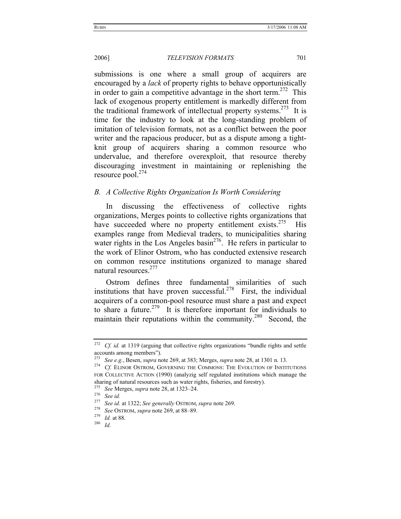submissions is one where a small group of acquirers are encouraged by a *lack* of property rights to behave opportunistically in order to gain a competitive advantage in the short term.<sup>272</sup> This lack of exogenous property entitlement is markedly different from the traditional framework of intellectual property systems.<sup>273</sup> It is time for the industry to look at the long-standing problem of imitation of television formats, not as a conflict between the poor writer and the rapacious producer, but as a dispute among a tightknit group of acquirers sharing a common resource who undervalue, and therefore overexploit, that resource thereby discouraging investment in maintaining or replenishing the resource pool.<sup>274</sup>

#### *B. A Collective Rights Organization Is Worth Considering*

In discussing the effectiveness of collective rights organizations, Merges points to collective rights organizations that have succeeded where no property entitlement exists.  $275$  His examples range from Medieval traders, to municipalities sharing water rights in the Los Angeles basin<sup>276</sup>. He refers in particular to the work of Elinor Ostrom, who has conducted extensive research on common resource institutions organized to manage shared natural resources.277

Ostrom defines three fundamental similarities of such institutions that have proven successful.<sup>278</sup> First, the individual acquirers of a common-pool resource must share a past and expect to share a future.<sup>279</sup> It is therefore important for individuals to maintain their reputations within the community.<sup>280</sup> Second, the

<sup>&</sup>lt;sup>272</sup> Cf. id. at 1319 (arguing that collective rights organizations "bundle rights and settle accounts among members").<br>
<sup>273</sup> See e.g., Besen, *supra* note 269, at 383; Merges, *supra* note 28, at 1301 n. 13.

<sup>&</sup>lt;sup>274</sup> Cf. ELINOR OSTROM, GOVERNING THE COMMONS: THE EVOLUTION OF INSTITUTIONS FOR COLLECTIVE ACTION (1990) (analyzig self regulated institutions which manage the sharing of natural resources such as water rights, fisheries, and forestry).<br>
<sup>275</sup> See Merges, *supra* note 28, at 1323–24.<br>
<sup>276</sup> See id.<br>
<sup>277</sup> See id.

<sup>277</sup> *See id.* at 1322; *See generally* OSTROM, *supra* note 269. 278 *See* OSTROM, *supra* note 269, at 88–89. 279 *Id.* at 88. 280 *Id.*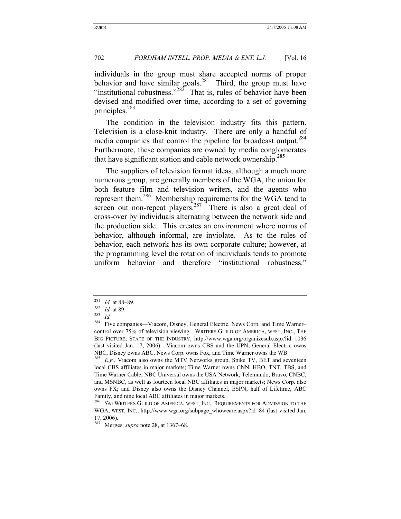individuals in the group must share accepted norms of proper behavior and have similar goals.<sup>281</sup> Third, the group must have "institutional robustness."<sup>282</sup> That is, rules of behavior have been devised and modified over time, according to a set of governing principles.<sup>283</sup>

The condition in the television industry fits this pattern. Television is a close-knit industry. There are only a handful of media companies that control the pipeline for broadcast output.<sup>284</sup> Furthermore, these companies are owned by media conglomerates that have significant station and cable network ownership.<sup>285</sup>

The suppliers of television format ideas, although a much more numerous group, are generally members of the WGA, the union for both feature film and television writers, and the agents who represent them.286 Membership requirements for the WGA tend to screen out non-repeat players.<sup>287</sup> There is also a great deal of cross-over by individuals alternating between the network side and the production side. This creates an environment where norms of behavior, although informal, are inviolate. As to the rules of behavior, each network has its own corporate culture; however, at the programming level the rotation of individuals tends to promote uniform behavior and therefore "institutional robustness."

<sup>281</sup> *Id.* at 88–89. 282 *Id.* at 89. 283 *Id.*

<sup>&</sup>lt;sup>284</sup> Five companies—Viacom, Disney, General Electric, News Corp. and Time Warner– control over 75% of television viewing. WRITERS GUILD OF AMERICA, WEST, INC., THE BIG PICTURE, STATE OF THE INDUSTRY, http://www.wga.org/organizesub.aspx?id=1036 (last visited Jan. 17, 2006). Viacom owns CBS and the UPN, General Electric owns NBC, Disney owns ABC, News Corp. owns Fox, and Time Warner owns the WB. 285 *E.g.*, Viacom also owns the MTV Networks group, Spike TV, BET and seventeen

local CBS affiliates in major markets; Time Warner owns CNN, HBO, TNT, TBS, and Time Warner Cable; NBC Universal owns the USA Network, Telemundo, Bravo, CNBC, and MSNBC, as well as fourteen local NBC affiliates in major markets; News Corp. also owns FX; and Disney also owns the Disney Channel, ESPN, half of Lifetime, ABC Family, and nine local ABC affiliates in major markets.

<sup>286</sup> *See* WRITERS GUILD OF AMERICA, WEST, INC., REQUIREMENTS FOR ADMISSION TO THE WGA, WEST, INC., http://www.wga.org/subpage\_whoweare.aspx?id=84 (last visited Jan. 17, 2006).

<sup>287</sup> Merges, *supra* note 28, at 1367–68.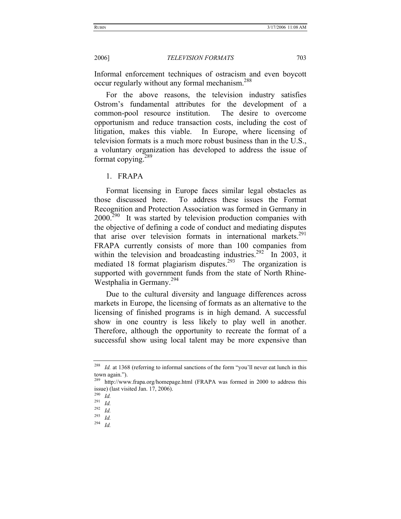Informal enforcement techniques of ostracism and even boycott occur regularly without any formal mechanism.<sup>288</sup>

For the above reasons, the television industry satisfies Ostrom's fundamental attributes for the development of a common-pool resource institution. The desire to overcome opportunism and reduce transaction costs, including the cost of litigation, makes this viable. In Europe, where licensing of television formats is a much more robust business than in the U.S., a voluntary organization has developed to address the issue of format copying. $289$ 

1. FRAPA

Format licensing in Europe faces similar legal obstacles as those discussed here. To address these issues the Format Recognition and Protection Association was formed in Germany in  $2000.<sup>290</sup>$  It was started by television production companies with the objective of defining a code of conduct and mediating disputes that arise over television formats in international markets.<sup>291</sup> FRAPA currently consists of more than 100 companies from within the television and broadcasting industries.<sup>292</sup> In 2003, it mediated 18 format plagiarism disputes.<sup>293</sup> The organization is supported with government funds from the state of North Rhine-Westphalia in Germany.<sup>294</sup>

Due to the cultural diversity and language differences across markets in Europe, the licensing of formats as an alternative to the licensing of finished programs is in high demand. A successful show in one country is less likely to play well in another. Therefore, although the opportunity to recreate the format of a successful show using local talent may be more expensive than

<sup>&</sup>lt;sup>288</sup> *Id.* at 1368 (referring to informal sanctions of the form "you'll never eat lunch in this town again.").

<sup>289</sup> http://www.frapa.org/homepage.html (FRAPA was formed in 2000 to address this issue) (last visited Jan. 17, 2006).

 $\frac{290}{291}$  *Id.* 

<sup>291</sup> *Id.*

<sup>292</sup> *Id.*

<sup>293</sup> *Id.*

<sup>294</sup> *Id.*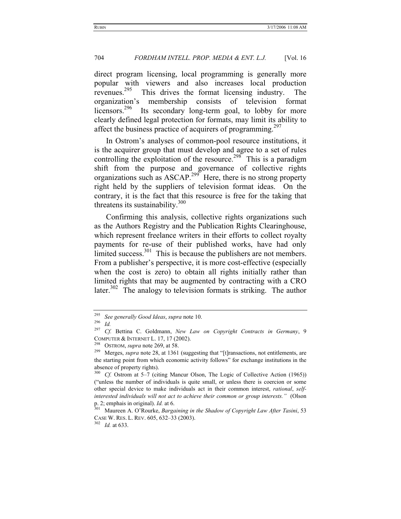direct program licensing, local programming is generally more popular with viewers and also increases local production revenues.295 This drives the format licensing industry. The organization's membership consists of television format licensors.<sup>296</sup> Its secondary long-term goal, to lobby for more clearly defined legal protection for formats, may limit its ability to affect the business practice of acquirers of programming.<sup>297</sup>

In Ostrom's analyses of common-pool resource institutions, it is the acquirer group that must develop and agree to a set of rules controlling the exploitation of the resource.<sup>298</sup> This is a paradigm shift from the purpose and governance of collective rights organizations such as  $ASCAP<sup>299</sup>$  Here, there is no strong property right held by the suppliers of television format ideas. On the contrary, it is the fact that this resource is free for the taking that threatens its sustainability. $300$ 

Confirming this analysis, collective rights organizations such as the Authors Registry and the Publication Rights Clearinghouse, which represent freelance writers in their efforts to collect royalty payments for re-use of their published works, have had only limited success.<sup>301</sup> This is because the publishers are not members. From a publisher's perspective, it is more cost-effective (especially when the cost is zero) to obtain all rights initially rather than limited rights that may be augmented by contracting with a CRO later.<sup>302</sup> The analogy to television formats is striking. The author

<sup>295</sup> *See generally Good Ideas*, *supra* note 10. 296 *Id.*

<sup>297</sup> *Cf.* Bettina C. Goldmann, *New Law on Copyright Contracts in Germany*, 9 COMPUTER & INTERNET L. 17, 17 (2002).<br><sup>298</sup> OSTROM, *supra* note 269, at 58.<br><sup>299</sup> Merges, *supra* note 28, at 1361 (suggesting that "[t]ransactions, not entitlements, are

the starting point from which economic activity follows" for exchange institutions in the absence of property rights).

<sup>300</sup> *Cf.* Ostrom at 5–7 (citing Mancur Olson, The Logic of Collective Action (1965)) ("unless the number of individuals is quite small, or unless there is coercion or some other special device to make individuals act in their common interest, *rational*, *selfinterested individuals will not act to achieve their common or group interests."* (Olson p. 2; emphais in original). *Id.* at 6.<br><sup>301</sup> Maureen A. O'Rourke, *Bargaining in the Shadow of Copyright Law After Tasini*, 53

CASE W. RES. L. REV. 605, 632–33 (2003). 302 *Id.* at 633.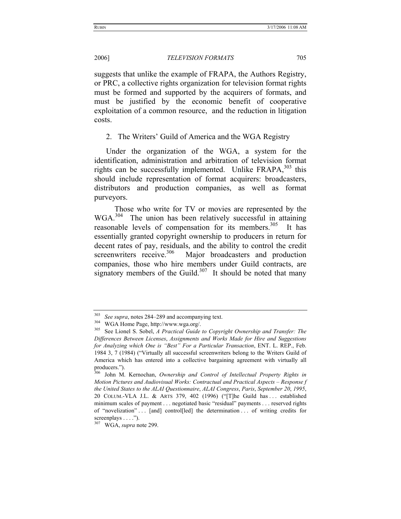suggests that unlike the example of FRAPA, the Authors Registry, or PRC, a collective rights organization for television format rights must be formed and supported by the acquirers of formats, and must be justified by the economic benefit of cooperative exploitation of a common resource, and the reduction in litigation costs.

2. The Writers' Guild of America and the WGA Registry

Under the organization of the WGA, a system for the identification, administration and arbitration of television format rights can be successfully implemented. Unlike  $FRAPA$ ,  $^{303}$  this should include representation of format acquirers: broadcasters, distributors and production companies, as well as format purveyors.

 Those who write for TV or movies are represented by the WGA.<sup>304</sup> The union has been relatively successful in attaining reasonable levels of compensation for its members.<sup>305</sup> It has essentially granted copyright ownership to producers in return for decent rates of pay, residuals, and the ability to control the credit screenwriters receive.<sup>306</sup> Major broadcasters and production companies, those who hire members under Guild contracts, are signatory members of the Guild. $307$  It should be noted that many

<sup>303</sup> *See supra*, notes 284–289 and accompanying text. 304 WGA Home Page, http://www.wga.org/. 305 See Lionel S. Sobel, *A Practical Guide to Copyright Ownership and Transfer: The Differences Between Licenses*, *Assignments and Works Made for Hire and Suggestions for Analyzing which One is "Best" For a Particular Transaction*, ENT. L. REP., Feb. 1984 3, 7 (1984) ("Virtually all successful screenwriters belong to the Writers Guild of America which has entered into a collective bargaining agreement with virtually all producers.").

<sup>306</sup> John M. Kernochan, *Ownership and Control of Intellectual Property Rights in Motion Pictures and Audiovisual Works: Contractual and Practical Aspects – Response f the United States to the ALAI Questionnaire*, *ALAI Congress*, *Paris*, *September 20*, *1995*, 20 COLUM.-VLA J.L. & ARTS 379, 402 (1996) ("[T]he Guild has . . . established minimum scales of payment . . . negotiated basic "residual" payments . . . reserved rights of "novelization" . . . [and] control[led] the determination . . . of writing credits for screenplays . . . .").

<sup>307</sup> WGA, *supra* note 299.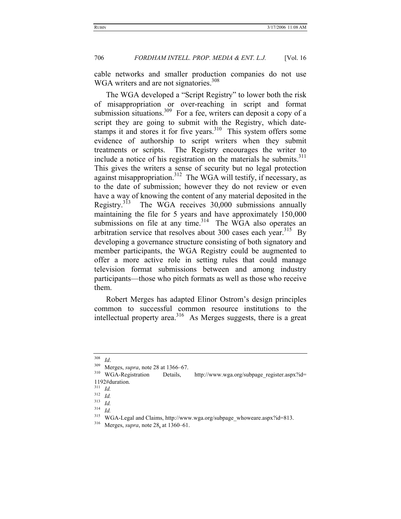cable networks and smaller production companies do not use WGA writers and are not signatories.<sup>308</sup>

The WGA developed a "Script Registry" to lower both the risk of misappropriation or over-reaching in script and format submission situations.<sup>309</sup> For a fee, writers can deposit a copy of a script they are going to submit with the Registry, which datestamps it and stores it for five years.<sup>310</sup> This system offers some evidence of authorship to script writers when they submit treatments or scripts. The Registry encourages the writer to include a notice of his registration on the materials he submits. $311$ This gives the writers a sense of security but no legal protection against misappropriation.<sup>312</sup> The WGA will testify, if necessary, as to the date of submission; however they do not review or even have a way of knowing the content of any material deposited in the Registry.<sup>313</sup> The WGA receives  $30,000$  submissions annually maintaining the file for 5 years and have approximately 150,000 submissions on file at any time. $314$  The WGA also operates an arbitration service that resolves about 300 cases each year.<sup>315</sup> By developing a governance structure consisting of both signatory and member participants, the WGA Registry could be augmented to offer a more active role in setting rules that could manage television format submissions between and among industry participants—those who pitch formats as well as those who receive them.

Robert Merges has adapted Elinor Ostrom's design principles common to successful common resource institutions to the intellectual property area.<sup>316</sup> As Merges suggests, there is a great

<sup>&</sup>lt;sup>308</sup> *Id.* Merges, *supra*, note 28 at 1366–67.<br><sup>309</sup> Merges, *supra*, note 28 at 1366–67.<br><sup>310</sup> WGA-Registration Details, http://www.wga.org/subpage\_register.aspx?id= 1192#duration.<br> $^{311}$  *L*d

 $\frac{311}{312}$  *Id.* 

 $\frac{312}{313}$  *Id.* 

 $\frac{313}{314}$  *Id.* 

<sup>314</sup> *Id.*

<sup>&</sup>lt;sup>315</sup> WGA-Legal and Claims, http://www.wga.org/subpage\_whoweare.aspx?id=813.<br><sup>316</sup> Merges, *supra*, note 28, at 1360–61.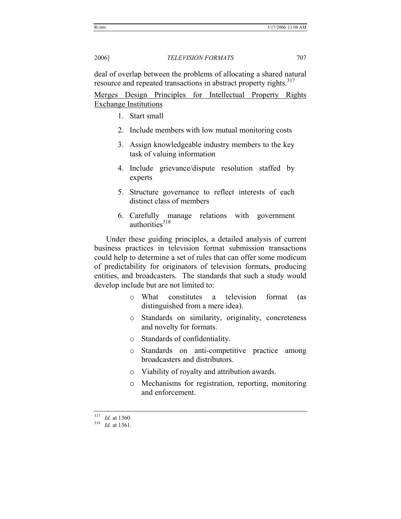deal of overlap between the problems of allocating a shared natural resource and repeated transactions in abstract property rights.<sup>317</sup>

Merges Design Principles for Intellectual Property Rights Exchange Institutions

- 1. Start small
- 2. Include members with low mutual monitoring costs
- 3. Assign knowledgeable industry members to the key task of valuing information
- 4. Include grievance/dispute resolution staffed by experts
- 5. Structure governance to reflect interests of each distinct class of members
- 6. Carefully manage relations with government authorities $318$

Under these guiding principles, a detailed analysis of current business practices in television format submission transactions could help to determine a set of rules that can offer some modicum of predictability for originators of television formats, producing entities, and broadcasters. The standards that such a study would develop include but are not limited to:

- o What constitutes a television format (as distinguished from a mere idea).
- o Standards on similarity, originality, concreteness and novelty for formats.
- o Standards of confidentiality.
- o Standards on anti-competitive practice among broadcasters and distributors.
- o Viability of royalty and attribution awards.
- o Mechanisms for registration, reporting, monitoring and enforcement.

<sup>317</sup> *Id.* at 1360. 318 *Id.* at 1361.